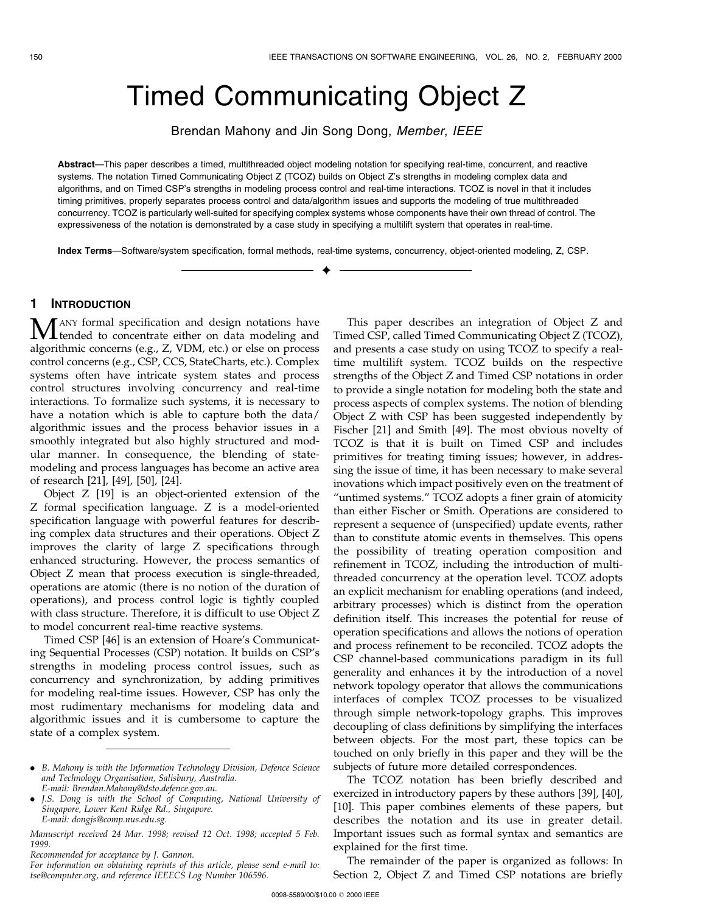# Timed Communicating Object Z

Brendan Mahony and Jin Song Dong, Member, IEEE

Abstract—This paper describes a timed, multithreaded object modeling notation for specifying real-time, concurrent, and reactive systems. The notation Timed Communicating Object Z (TCOZ) builds on Object Z's strengths in modeling complex data and algorithms, and on Timed CSP's strengths in modeling process control and real-time interactions. TCOZ is novel in that it includes timing primitives, properly separates process control and data/algorithm issues and supports the modeling of true multithreaded concurrency. TCOZ is particularly well-suited for specifying complex systems whose components have their own thread of control. The expressiveness of the notation is demonstrated by a case study in specifying a multilift system that operates in real-time.

Index Terms-Software/system specification, formal methods, real-time systems, concurrency, object-oriented modeling, Z, CSP. æ

#### 1 INTRODUCTION

MANY formal specification and design notations have<br>tended to concentrate either on data modeling and<br>designations are seen to a 7 MNA the concentrate algorithmic concerns (e.g., Z, VDM, etc.) or else on process control concerns (e.g., CSP, CCS, StateCharts, etc.). Complex systems often have intricate system states and process control structures involving concurrency and real-time interactions. To formalize such systems, it is necessary to have a notation which is able to capture both the data/ algorithmic issues and the process behavior issues in a smoothly integrated but also highly structured and modular manner. In consequence, the blending of statemodeling and process languages has become an active area of research [21], [49], [50], [24].

Object Z [19] is an object-oriented extension of the Z formal specification language. Z is a model-oriented specification language with powerful features for describing complex data structures and their operations. Object Z improves the clarity of large Z specifications through enhanced structuring. However, the process semantics of Object Z mean that process execution is single-threaded, operations are atomic (there is no notion of the duration of operations), and process control logic is tightly coupled with class structure. Therefore, it is difficult to use Object Z to model concurrent real-time reactive systems.

Timed CSP [46] is an extension of Hoare's Communicating Sequential Processes (CSP) notation. It builds on CSP's strengths in modeling process control issues, such as concurrency and synchronization, by adding primitives for modeling real-time issues. However, CSP has only the most rudimentary mechanisms for modeling data and algorithmic issues and it is cumbersome to capture the state of a complex system.

For information on obtaining reprints of this article, please send e-mail to: tse@computer.org, and reference IEEECS Log Number 106596.

This paper describes an integration of Object Z and Timed CSP, called Timed Communicating Object Z (TCOZ), and presents a case study on using TCOZ to specify a realtime multilift system. TCOZ builds on the respective strengths of the Object Z and Timed CSP notations in order to provide a single notation for modeling both the state and process aspects of complex systems. The notion of blending Object Z with CSP has been suggested independently by Fischer [21] and Smith [49]. The most obvious novelty of TCOZ is that it is built on Timed CSP and includes primitives for treating timing issues; however, in addressing the issue of time, it has been necessary to make several inovations which impact positively even on the treatment of "untimed systems." TCOZ adopts a finer grain of atomicity than either Fischer or Smith. Operations are considered to represent a sequence of (unspecified) update events, rather than to constitute atomic events in themselves. This opens the possibility of treating operation composition and refinement in TCOZ, including the introduction of multithreaded concurrency at the operation level. TCOZ adopts an explicit mechanism for enabling operations (and indeed, arbitrary processes) which is distinct from the operation definition itself. This increases the potential for reuse of operation specifications and allows the notions of operation and process refinement to be reconciled. TCOZ adopts the CSP channel-based communications paradigm in its full generality and enhances it by the introduction of a novel network topology operator that allows the communications interfaces of complex TCOZ processes to be visualized through simple network-topology graphs. This improves decoupling of class definitions by simplifying the interfaces between objects. For the most part, these topics can be touched on only briefly in this paper and they will be the subjects of future more detailed correspondences.

The TCOZ notation has been briefly described and exercized in introductory papers by these authors [39], [40], [10]. This paper combines elements of these papers, but describes the notation and its use in greater detail. Important issues such as formal syntax and semantics are explained for the first time.

The remainder of the paper is organized as follows: In Section 2, Object Z and Timed CSP notations are briefly

<sup>.</sup> B. Mahony is with the Information Technology Division, Defence Science and Technology Organisation, Salisbury, Australia. E-mail: Brendan.Mahony@dsto.defence.gov.au.

<sup>.</sup> J.S. Dong is with the School of Computing, National University of Singapore, Lower Kent Ridge Rd., Singapore. E-mail: dongjs@comp.nus.edu.sg.

Manuscript received 24 Mar. 1998; revised 12 Oct. 1998; accepted 5 Feb. 1999.

Recommended for acceptance by J. Gannon.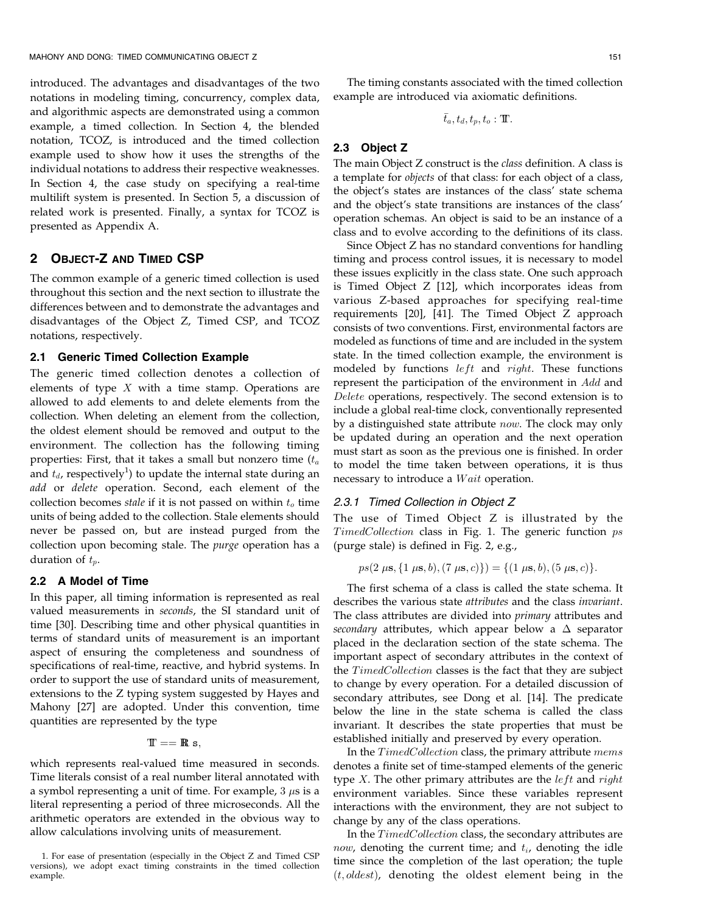introduced. The advantages and disadvantages of the two notations in modeling timing, concurrency, complex data, and algorithmic aspects are demonstrated using a common example, a timed collection. In Section 4, the blended notation, TCOZ, is introduced and the timed collection example used to show how it uses the strengths of the individual notations to address their respective weaknesses. In Section 4, the case study on specifying a real-time multilift system is presented. In Section 5, a discussion of related work is presented. Finally, a syntax for TCOZ is presented as Appendix A.

## 2 OBJECT-Z AND TIMED CSP

The common example of a generic timed collection is used throughout this section and the next section to illustrate the differences between and to demonstrate the advantages and disadvantages of the Object Z, Timed CSP, and TCOZ notations, respectively.

#### 2.1 Generic Timed Collection Example

The generic timed collection denotes a collection of elements of type  $X$  with a time stamp. Operations are allowed to add elements to and delete elements from the collection. When deleting an element from the collection, the oldest element should be removed and output to the environment. The collection has the following timing properties: First, that it takes a small but nonzero time  $(t_a)$ and  $t_d$ , respectively<sup>1</sup>) to update the internal state during an add or delete operation. Second, each element of the collection becomes *stale* if it is not passed on within  $t<sub>o</sub>$  time units of being added to the collection. Stale elements should never be passed on, but are instead purged from the collection upon becoming stale. The *purge* operation has a duration of  $t_p$ .

#### 2.2 A Model of Time

In this paper, all timing information is represented as real valued measurements in seconds, the SI standard unit of time [30]. Describing time and other physical quantities in terms of standard units of measurement is an important aspect of ensuring the completeness and soundness of specifications of real-time, reactive, and hybrid systems. In order to support the use of standard units of measurement, extensions to the Z typing system suggested by Hayes and Mahony [27] are adopted. Under this convention, time quantities are represented by the type

 $T == R s$ ,

which represents real-valued time measured in seconds. Time literals consist of a real number literal annotated with a symbol representing a unit of time. For example,  $3 \mu s$  is a literal representing a period of three microseconds. All the arithmetic operators are extended in the obvious way to allow calculations involving units of measurement.

The timing constants associated with the timed collection example are introduced via axiomatic definitions.

 $\bar{t}_a, t_d, t_p, t_o : \mathbb{T}$  .

#### 2.3 Object Z

The main Object Z construct is the *class* definition. A class is a template for objects of that class: for each object of a class, the object's states are instances of the class' state schema and the object's state transitions are instances of the class' operation schemas. An object is said to be an instance of a class and to evolve according to the definitions of its class.

Since Object Z has no standard conventions for handling timing and process control issues, it is necessary to model these issues explicitly in the class state. One such approach is Timed Object Z [12], which incorporates ideas from various Z-based approaches for specifying real-time requirements [20], [41]. The Timed Object Z approach consists of two conventions. First, environmental factors are modeled as functions of time and are included in the system state. In the timed collection example, the environment is modeled by functions left and right. These functions represent the participation of the environment in Add and Delete operations, respectively. The second extension is to include a global real-time clock, conventionally represented by a distinguished state attribute now. The clock may only be updated during an operation and the next operation must start as soon as the previous one is finished. In order to model the time taken between operations, it is thus necessary to introduce a *Wait* operation.

#### 2.3.1 Timed Collection in Object Z

The use of Timed Object Z is illustrated by the  $TimedCollection$  class in Fig. 1. The generic function  $ps$ (purge stale) is defined in Fig. 2, e.g.,

$$
ps(2 \mu s, \{1 \mu s, b), (7 \mu s, c)\}) = \{(1 \mu s, b), (5 \mu s, c)\}.
$$

The first schema of a class is called the state schema. It describes the various state attributes and the class invariant. The class attributes are divided into primary attributes and secondary attributes, which appear below a  $\Delta$  separator placed in the declaration section of the state schema. The important aspect of secondary attributes in the context of the  $TimedCollection$  classes is the fact that they are subject to change by every operation. For a detailed discussion of secondary attributes, see Dong et al. [14]. The predicate below the line in the state schema is called the class invariant. It describes the state properties that must be established initially and preserved by every operation.

In the TimedCollection class, the primary attribute mems denotes a finite set of time-stamped elements of the generic type  $X$ . The other primary attributes are the  $left$  and  $right$ environment variables. Since these variables represent interactions with the environment, they are not subject to change by any of the class operations.

In the  $TimedCollection$  class, the secondary attributes are now, denoting the current time; and  $t_i$ , denoting the idle time since the completion of the last operation; the tuple  $(t, oldest)$ , denoting the oldest element being in the

<sup>1.</sup> For ease of presentation (especially in the Object Z and Timed CSP versions), we adopt exact timing constraints in the timed collection example.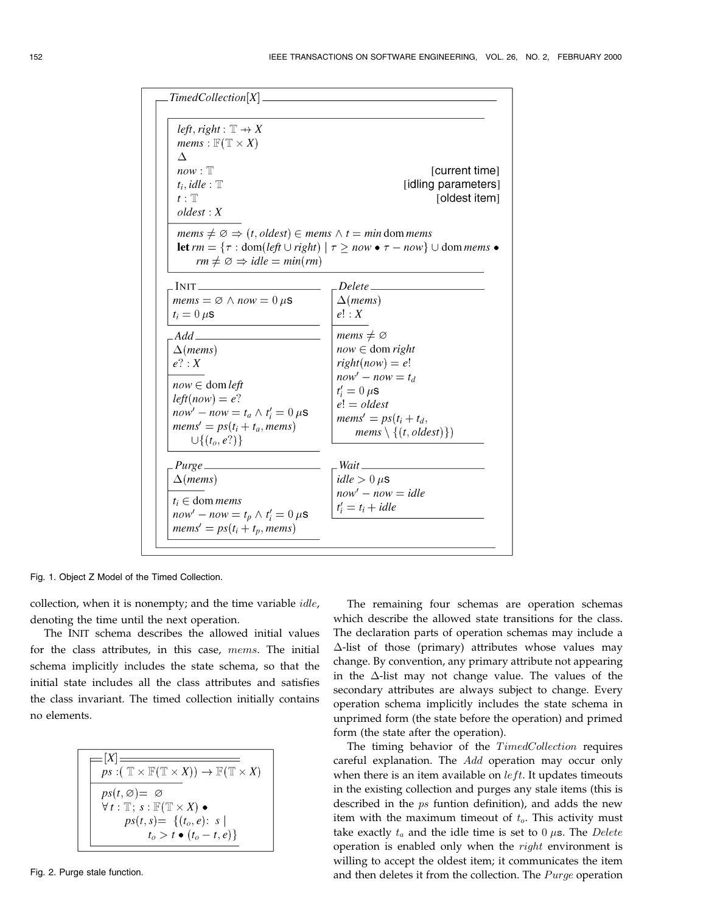| <i>mems</i> : $\mathbb{F}(\mathbb{T} \times X)$<br>Δ<br>$now: \mathbb{T}$     |                                                                                                                                    |
|-------------------------------------------------------------------------------|------------------------------------------------------------------------------------------------------------------------------------|
|                                                                               |                                                                                                                                    |
|                                                                               |                                                                                                                                    |
|                                                                               | [current time]                                                                                                                     |
| $t_i$ , idle : $\mathbb T$<br>$t:\mathbb{T}$                                  | [idling parameters]<br>[oldest item]                                                                                               |
| oldest : X                                                                    |                                                                                                                                    |
|                                                                               |                                                                                                                                    |
| mems $\neq \emptyset \Rightarrow (t, oldest) \in mems \land t = min dom mems$ |                                                                                                                                    |
|                                                                               | <b>let</b> $rm = \{\tau : dom(left \cup right) \mid \tau \geq now \bullet \tau - now\} \cup dom \text{ } \bullet \text{ } \bullet$ |
| $rm \neq \emptyset \Rightarrow idle = min(rm)$                                |                                                                                                                                    |
| $\sqrt{\rm NIT}$                                                              | $Delete$ $-$                                                                                                                       |
| mems = $\varnothing \wedge now = 0 \mu S$                                     | $\Delta$ (mems)                                                                                                                    |
| $t_i = 0 \,\mu s$                                                             | e: X                                                                                                                               |
| $Add$ <sub>______</sub>                                                       | mems $\neq \varnothing$                                                                                                            |
| $\Delta$ ( <i>mems</i> )                                                      | $now \in \text{dom right}$                                                                                                         |
| $e$ ? : $X$                                                                   | $right(now) = e!$                                                                                                                  |
|                                                                               | $now' - now = t_d$                                                                                                                 |
| $now \in \text{dom left}$                                                     | $t'_i=0 \mu s$                                                                                                                     |
| $left(now) = e$ ?                                                             | $e! = oldest$                                                                                                                      |
| $now' - now = t_a \wedge t'_i = 0 \mu s$                                      | $mems' = ps(ti + td,$                                                                                                              |
| $mems' = ps(ti + ta, mems)$<br>$\cup \{(t_o, e?)\}$                           | mems $\setminus \{(t, oldest)\})$                                                                                                  |
|                                                                               |                                                                                                                                    |
| $. Pure \_$                                                                   |                                                                                                                                    |
| $\Delta(mems)$                                                                | $idle > 0 \mu s$                                                                                                                   |
|                                                                               | $now' - now = idle$                                                                                                                |
| $t_i \in \text{dom} \, \textit{mem} \, \textit{s}$                            | $t'_i = t_i + idle$                                                                                                                |

Fig. 1. Object Z Model of the Timed Collection.

collection, when it is nonempty; and the time variable *idle*, denoting the time until the next operation.

The INIT schema describes the allowed initial values for the class attributes, in this case, mems. The initial schema implicitly includes the state schema, so that the initial state includes all the class attributes and satisfies the class invariant. The timed collection initially contains no elements.

| $=  X  =$                                                                                     |  |
|-----------------------------------------------------------------------------------------------|--|
| $ps: (\mathbb{T} \times \mathbb{F}(\mathbb{T} \times X)) \to \mathbb{F}(\mathbb{T} \times X)$ |  |
| $ps(t, \varnothing) = \varnothing$                                                            |  |
| $\forall t : \mathbb{T}; s : \mathbb{F}(\mathbb{T} \times X)$ .                               |  |
| $ps(t, s) = \{(t_o, e): s \mid$                                                               |  |
| $t_o > t \bullet (t_o - t, e)$                                                                |  |

Fig. 2. Purge stale function.

The remaining four schemas are operation schemas which describe the allowed state transitions for the class. The declaration parts of operation schemas may include a  $\Delta$ -list of those (primary) attributes whose values may change. By convention, any primary attribute not appearing in the  $\Delta$ -list may not change value. The values of the secondary attributes are always subject to change. Every operation schema implicitly includes the state schema in unprimed form (the state before the operation) and primed form (the state after the operation).

The timing behavior of the TimedCollection requires careful explanation. The Add operation may occur only when there is an item available on  $left$ . It updates timeouts in the existing collection and purges any stale items (this is described in the ps funtion definition), and adds the new item with the maximum timeout of  $t_o$ . This activity must take exactly  $t_a$  and the idle time is set to 0  $\mu$ s. The *Delete* operation is enabled only when the right environment is willing to accept the oldest item; it communicates the item and then deletes it from the collection. The  $P \text{urge}$  operation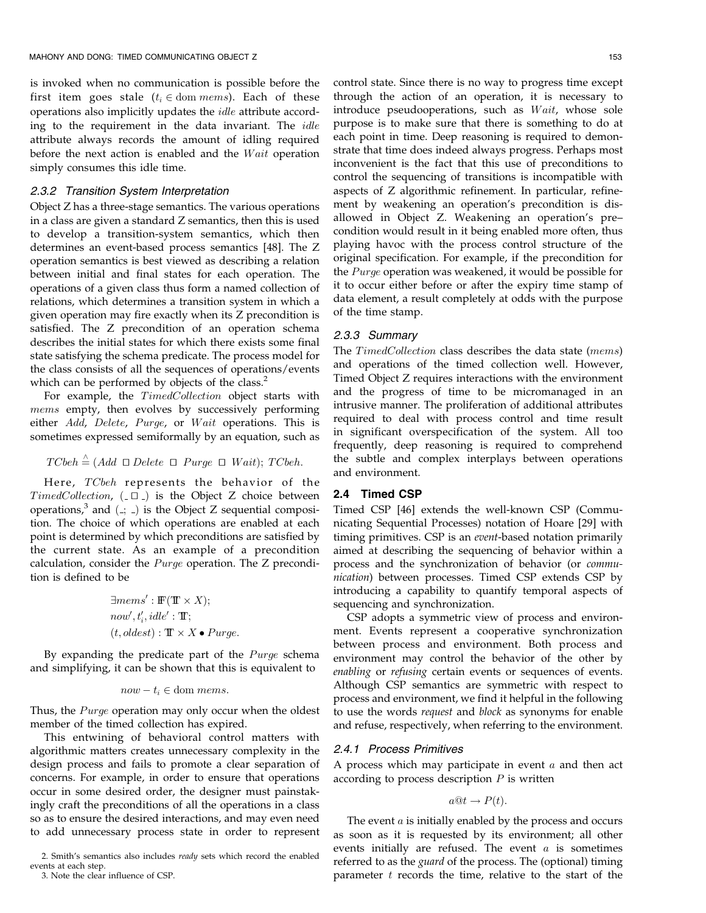is invoked when no communication is possible before the first item goes stale  $(t_i \in \text{dom} \, \textit{mems})$ . Each of these operations also implicitly updates the idle attribute according to the requirement in the data invariant. The idle attribute always records the amount of idling required before the next action is enabled and the  $Wait$  operation simply consumes this idle time.

#### 2.3.2 Transition System Interpretation

Object Z has a three-stage semantics. The various operations in a class are given a standard Z semantics, then this is used to develop a transition-system semantics, which then determines an event-based process semantics [48]. The Z operation semantics is best viewed as describing a relation between initial and final states for each operation. The operations of a given class thus form a named collection of relations, which determines a transition system in which a given operation may fire exactly when its Z precondition is satisfied. The Z precondition of an operation schema describes the initial states for which there exists some final state satisfying the schema predicate. The process model for the class consists of all the sequences of operations/events which can be performed by objects of the class.<sup>2</sup>

For example, the TimedCollection object starts with mems empty, then evolves by successively performing either  $Add$ , Delete, Purge, or Wait operations. This is sometimes expressed semiformally by an equation, such as

## $TCbeh \triangleq (Add \Box Delete \Box Pure \Box Wave).$  T Cbeh.

Here, TCbeh represents the behavior of the  $TimedCollection$ ,  $($  $\Box$  $)$  is the Object Z choice between operations,<sup>3</sup> and  $\left(\frac{1}{2}, \frac{1}{2}\right)$  is the Object Z sequential composition. The choice of which operations are enabled at each point is determined by which preconditions are satisfied by the current state. As an example of a precondition calculation, consider the  $P \text{urge}$  operation. The Z precondition is defined to be

$$
\exists mem s' : \mathbb{F}(\mathbb{T} \times X);
$$
  

$$
now', t'_{i}, idle' : \mathbb{T};
$$
  

$$
(t, oldest) : \mathbb{T} \times X \bullet Pure.
$$

By expanding the predicate part of the  $P \text{urge}$  schema and simplifying, it can be shown that this is equivalent to

$$
now - t_i \in \text{dom } \textit{mems}.
$$

Thus, the Purge operation may only occur when the oldest member of the timed collection has expired.

This entwining of behavioral control matters with algorithmic matters creates unnecessary complexity in the design process and fails to promote a clear separation of concerns. For example, in order to ensure that operations occur in some desired order, the designer must painstakingly craft the preconditions of all the operations in a class so as to ensure the desired interactions, and may even need to add unnecessary process state in order to represent control state. Since there is no way to progress time except through the action of an operation, it is necessary to introduce pseudooperations, such as  $Wait$ , whose sole purpose is to make sure that there is something to do at each point in time. Deep reasoning is required to demonstrate that time does indeed always progress. Perhaps most inconvenient is the fact that this use of preconditions to control the sequencing of transitions is incompatible with aspects of Z algorithmic refinement. In particular, refinement by weakening an operation's precondition is disallowed in Object Z. Weakening an operation's precondition would result in it being enabled more often, thus playing havoc with the process control structure of the original specification. For example, if the precondition for the  $Purge$  operation was weakened, it would be possible for it to occur either before or after the expiry time stamp of data element, a result completely at odds with the purpose of the time stamp.

#### 2.3.3 Summary

The TimedCollection class describes the data state (mems) and operations of the timed collection well. However, Timed Object Z requires interactions with the environment and the progress of time to be micromanaged in an intrusive manner. The proliferation of additional attributes required to deal with process control and time result in significant overspecification of the system. All too frequently, deep reasoning is required to comprehend the subtle and complex interplays between operations and environment.

#### 2.4 Timed CSP

Timed CSP [46] extends the well-known CSP (Communicating Sequential Processes) notation of Hoare [29] with timing primitives. CSP is an event-based notation primarily aimed at describing the sequencing of behavior within a process and the synchronization of behavior (or communication) between processes. Timed CSP extends CSP by introducing a capability to quantify temporal aspects of sequencing and synchronization.

CSP adopts a symmetric view of process and environment. Events represent a cooperative synchronization between process and environment. Both process and environment may control the behavior of the other by enabling or refusing certain events or sequences of events. Although CSP semantics are symmetric with respect to process and environment, we find it helpful in the following to use the words request and block as synonyms for enable and refuse, respectively, when referring to the environment.

#### 2.4.1 Process Primitives

A process which may participate in event  $a$  and then act according to process description  $P$  is written

$$
a@t \to P(t).
$$

The event  $a$  is initially enabled by the process and occurs as soon as it is requested by its environment; all other events initially are refused. The event  $a$  is sometimes referred to as the *guard* of the process. The (optional) timing parameter  $t$  records the time, relative to the start of the

<sup>2.</sup> Smith's semantics also includes ready sets which record the enabled events at each step.

<sup>3.</sup> Note the clear influence of CSP.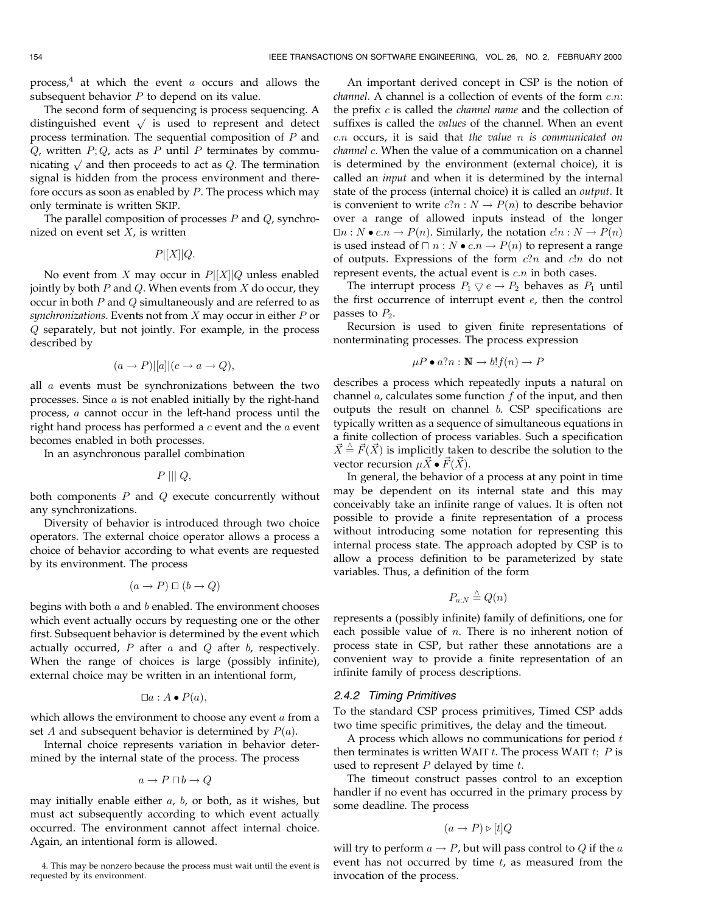process, $4$  at which the event a occurs and allows the subsequent behavior  $P$  to depend on its value.

The second form of sequencing is process sequencing. A distinguished event  $\sqrt{}$  is used to represent and detect process termination. The sequential composition of  $P$  and Q, written  $P$ ; Q, acts as P until P terminates by communicating  $\sqrt{ }$  and then proceeds to act as Q. The termination signal is hidden from the process environment and therefore occurs as soon as enabled by  $P$ . The process which may only terminate is written SKIP.

The parallel composition of processes  $P$  and  $Q$ , synchronized on event set  $X$ , is written

 $P|[X]|Q.$ 

No event from  $X$  may occur in  $P|[X]|Q$  unless enabled jointly by both  $P$  and  $Q$ . When events from  $X$  do occur, they occur in both  $P$  and  $Q$  simultaneously and are referred to as synchronizations. Events not from  $X$  may occur in either  $P$  or Q separately, but not jointly. For example, in the process described by

$$
(a \to P)[[a]](c \to a \to Q),
$$

all  $a$  events must be synchronizations between the two processes. Since  $a$  is not enabled initially by the right-hand process, a cannot occur in the left-hand process until the right hand process has performed a  $c$  event and the  $a$  event becomes enabled in both processes.

In an asynchronous parallel combination

$$
P\mid\mid\mid Q,
$$

both components  $P$  and  $Q$  execute concurrently without any synchronizations.

Diversity of behavior is introduced through two choice operators. The external choice operator allows a process a choice of behavior according to what events are requested by its environment. The process

$$
(a \to P) \sqcup (b \to Q)
$$

begins with both  $a$  and  $b$  enabled. The environment chooses which event actually occurs by requesting one or the other first. Subsequent behavior is determined by the event which actually occurred,  $P$  after  $a$  and  $Q$  after  $b$ , respectively. When the range of choices is large (possibly infinite), external choice may be written in an intentional form,

$$
\Box a:A\bullet P(a),
$$

which allows the environment to choose any event  $a$  from a set A and subsequent behavior is determined by  $P(a)$ .

Internal choice represents variation in behavior determined by the internal state of the process. The process

$$
a \to P \sqcap b \to Q
$$

may initially enable either  $a$ ,  $b$ , or both, as it wishes, but must act subsequently according to which event actually occurred. The environment cannot affect internal choice. Again, an intentional form is allowed.

An important derived concept in CSP is the notion of  $channel.$  A channel is a collection of events of the form  $c.n$ : the prefix  $c$  is called the *channel name* and the collection of suffixes is called the values of the channel. When an event c:n occurs, it is said that the value n is communicated on channel c. When the value of a communication on a channel is determined by the environment (external choice), it is called an *input* and when it is determined by the internal state of the process (internal choice) it is called an *output*. It is convenient to write  $c?n : N \to P(n)$  to describe behavior over a range of allowed inputs instead of the longer  $\Box n : N \bullet c.n \to P(n)$ . Similarly, the notation  $c!n : N \to P(n)$ is used instead of  $\Box n : N \bullet c.n \to P(n)$  to represent a range of outputs. Expressions of the form  $c?n$  and  $c!n$  do not represent events, the actual event is  $c.n$  in both cases.

The interrupt process  $P_1 \nabla e \rightarrow P_2$  behaves as  $P_1$  until the first occurrence of interrupt event  $e$ , then the control passes to  $P_2$ .

Recursion is used to given finite representations of nonterminating processes. The process expression

$$
\mu P \bullet a?n : \mathbb{N} \to b!f(n) \to P
$$

describes a process which repeatedly inputs a natural on channel  $a$ , calculates some function  $f$  of the input, and then outputs the result on channel  $b$ . CSP specifications are typically written as a sequence of simultaneous equations in a finite collection of process variables. Such a specification  $\vec{X} \stackrel{\triangle}{=} \vec{F}(\vec{X})$  is implicitly taken to describe the solution to the vector recursion  $\mu \vec{X} \bullet \vec{F}(\vec{X})$ .

In general, the behavior of a process at any point in time may be dependent on its internal state and this may conceivably take an infinite range of values. It is often not possible to provide a finite representation of a process without introducing some notation for representing this internal process state. The approach adopted by CSP is to allow a process definition to be parameterized by state variables. Thus, a definition of the form

$$
P_{n:N} \stackrel{\wedge}{=} Q(n)
$$

represents a (possibly infinite) family of definitions, one for each possible value of  $n$ . There is no inherent notion of process state in CSP, but rather these annotations are a convenient way to provide a finite representation of an infinite family of process descriptions.

#### 2.4.2 Timing Primitives

To the standard CSP process primitives, Timed CSP adds two time specific primitives, the delay and the timeout.

A process which allows no communications for period  $t$ then terminates is written WAIT  $t$ . The process WAIT  $t$ ;  $P$  is used to represent  $P$  delayed by time  $t$ .

The timeout construct passes control to an exception handler if no event has occurred in the primary process by some deadline. The process

$$
(a \to P) \triangleright [t] Q
$$

will try to perform  $a \to P$ , but will pass control to Q if the a event has not occurred by time  $t$ , as measured from the invocation of the process.

<sup>4.</sup> This may be nonzero because the process must wait until the event is requested by its environment.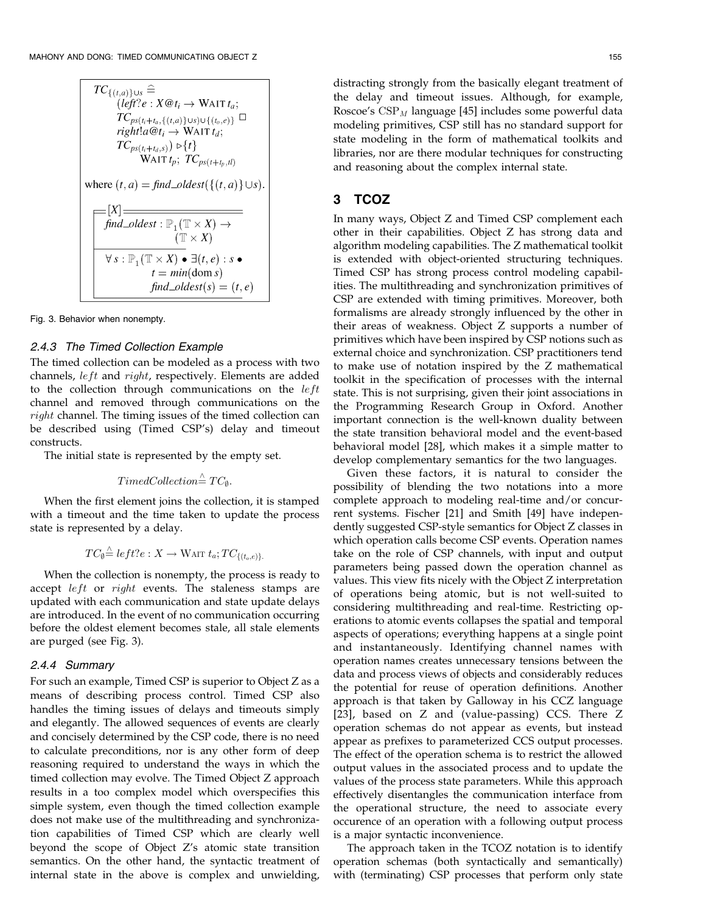MAHONY AND DONG: TIMED COMMUNICATING OBJECT Z 155

$$
TC_{\{(t,a)\}\cup s} \cong
$$
\n
$$
(left?e : X@t_i \rightarrow \text{WAIT } t_a;
$$
\n
$$
TC_{ps(t_i+t_a,\{(t,a)\}\cup s)\cup\{(t_o,e)\}} \Box
$$
\n
$$
right!a@t_i \rightarrow \text{WAIT } t_d;
$$
\n
$$
TC_{ps(t_i+t_d,s)}) \triangleright \{t\}
$$
\n
$$
\text{WAIT } t_p; TC_{ps(t+t_p,t)}
$$
\n
$$
\text{where } (t,a) = find\_oldest(\{(t,a)\}\cup s).
$$
\n
$$
\begin{array}{c}\n\boxed{[X] \longrightarrow}\n\boxed{find\_oldest : \mathbb{P}_1(\mathbb{T} \times X) \rightarrow}\n\boxed{(\mathbb{T} \times X)} \\
\boxed{\forall s : \mathbb{P}_1(\mathbb{T} \times X) \bullet \exists (t,e) : s \bullet}\n\boxed{t = min(dom s)}\n\boxed{find\_oldest(s) = (t,e)}\n\end{array}
$$

Fig. 3. Behavior when nonempty.

#### 2.4.3 The Timed Collection Example

The timed collection can be modeled as a process with two channels, left and right, respectively. Elements are added to the collection through communications on the  $left$ channel and removed through communications on the right channel. The timing issues of the timed collection can be described using (Timed CSP's) delay and timeout constructs.

The initial state is represented by the empty set.

$$
TimedCollection \overset{\wedge}{=} TC_{\emptyset}.
$$

When the first element joins the collection, it is stamped with a timeout and the time taken to update the process state is represented by a delay.

$$
TC_{\emptyset} \stackrel{\wedge}{=} left?e : X \to \text{WAIT } t_a; TC_{\{(t_o,e)\}}.
$$

When the collection is nonempty, the process is ready to accept left or right events. The staleness stamps are updated with each communication and state update delays are introduced. In the event of no communication occurring before the oldest element becomes stale, all stale elements are purged (see Fig. 3).

#### 2.4.4 Summary

For such an example, Timed CSP is superior to Object Z as a means of describing process control. Timed CSP also handles the timing issues of delays and timeouts simply and elegantly. The allowed sequences of events are clearly and concisely determined by the CSP code, there is no need to calculate preconditions, nor is any other form of deep reasoning required to understand the ways in which the timed collection may evolve. The Timed Object Z approach results in a too complex model which overspecifies this simple system, even though the timed collection example does not make use of the multithreading and synchronization capabilities of Timed CSP which are clearly well beyond the scope of Object Z's atomic state transition semantics. On the other hand, the syntactic treatment of internal state in the above is complex and unwielding,

distracting strongly from the basically elegant treatment of the delay and timeout issues. Although, for example, Roscoe's  $CSP<sub>M</sub>$  language [45] includes some powerful data modeling primitives, CSP still has no standard support for state modeling in the form of mathematical toolkits and libraries, nor are there modular techniques for constructing and reasoning about the complex internal state.

## 3 TCOZ

In many ways, Object Z and Timed CSP complement each other in their capabilities. Object Z has strong data and algorithm modeling capabilities. The Z mathematical toolkit is extended with object-oriented structuring techniques. Timed CSP has strong process control modeling capabilities. The multithreading and synchronization primitives of CSP are extended with timing primitives. Moreover, both formalisms are already strongly influenced by the other in their areas of weakness. Object Z supports a number of primitives which have been inspired by CSP notions such as external choice and synchronization. CSP practitioners tend to make use of notation inspired by the Z mathematical toolkit in the specification of processes with the internal state. This is not surprising, given their joint associations in the Programming Research Group in Oxford. Another important connection is the well-known duality between the state transition behavioral model and the event-based behavioral model [28], which makes it a simple matter to develop complementary semantics for the two languages.

Given these factors, it is natural to consider the possibility of blending the two notations into a more complete approach to modeling real-time and/or concurrent systems. Fischer [21] and Smith [49] have independently suggested CSP-style semantics for Object Z classes in which operation calls become CSP events. Operation names take on the role of CSP channels, with input and output parameters being passed down the operation channel as values. This view fits nicely with the Object Z interpretation of operations being atomic, but is not well-suited to considering multithreading and real-time. Restricting operations to atomic events collapses the spatial and temporal aspects of operations; everything happens at a single point and instantaneously. Identifying channel names with operation names creates unnecessary tensions between the data and process views of objects and considerably reduces the potential for reuse of operation definitions. Another approach is that taken by Galloway in his CCZ language [23], based on Z and (value-passing) CCS. There Z operation schemas do not appear as events, but instead appear as prefixes to parameterized CCS output processes. The effect of the operation schema is to restrict the allowed output values in the associated process and to update the values of the process state parameters. While this approach effectively disentangles the communication interface from the operational structure, the need to associate every occurence of an operation with a following output process is a major syntactic inconvenience.

The approach taken in the TCOZ notation is to identify operation schemas (both syntactically and semantically) with (terminating) CSP processes that perform only state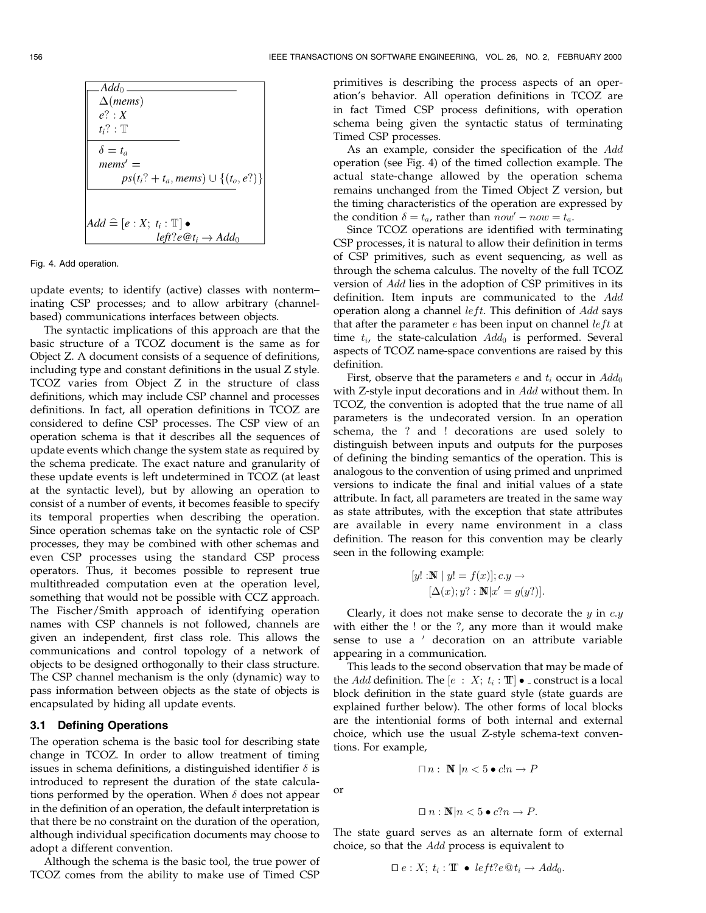

update events; to identify (active) classes with nonterminating CSP processes; and to allow arbitrary (channelbased) communications interfaces between objects.

The syntactic implications of this approach are that the basic structure of a TCOZ document is the same as for Object Z. A document consists of a sequence of definitions, including type and constant definitions in the usual Z style. TCOZ varies from Object Z in the structure of class definitions, which may include CSP channel and processes definitions. In fact, all operation definitions in TCOZ are considered to define CSP processes. The CSP view of an operation schema is that it describes all the sequences of update events which change the system state as required by the schema predicate. The exact nature and granularity of these update events is left undetermined in TCOZ (at least at the syntactic level), but by allowing an operation to consist of a number of events, it becomes feasible to specify its temporal properties when describing the operation. Since operation schemas take on the syntactic role of CSP processes, they may be combined with other schemas and even CSP processes using the standard CSP process operators. Thus, it becomes possible to represent true multithreaded computation even at the operation level, something that would not be possible with CCZ approach. The Fischer/Smith approach of identifying operation names with CSP channels is not followed, channels are given an independent, first class role. This allows the communications and control topology of a network of objects to be designed orthogonally to their class structure. The CSP channel mechanism is the only (dynamic) way to pass information between objects as the state of objects is encapsulated by hiding all update events.

#### 3.1 Defining Operations

The operation schema is the basic tool for describing state change in TCOZ. In order to allow treatment of timing issues in schema definitions, a distinguished identifier  $\delta$  is introduced to represent the duration of the state calculations performed by the operation. When  $\delta$  does not appear in the definition of an operation, the default interpretation is that there be no constraint on the duration of the operation, although individual specification documents may choose to adopt a different convention.

Although the schema is the basic tool, the true power of TCOZ comes from the ability to make use of Timed CSP

primitives is describing the process aspects of an operation's behavior. All operation definitions in TCOZ are in fact Timed CSP process definitions, with operation schema being given the syntactic status of terminating Timed CSP processes.

As an example, consider the specification of the Add operation (see Fig. 4) of the timed collection example. The actual state-change allowed by the operation schema remains unchanged from the Timed Object Z version, but the timing characteristics of the operation are expressed by the condition  $\delta = t_a$ , rather than  $now' - now = t_a$ .

Since TCOZ operations are identified with terminating CSP processes, it is natural to allow their definition in terms of CSP primitives, such as event sequencing, as well as through the schema calculus. The novelty of the full TCOZ version of Add lies in the adoption of CSP primitives in its definition. Item inputs are communicated to the Add operation along a channel  $left$ . This definition of  $Add$  says that after the parameter  $e$  has been input on channel  $left$ time  $t_i$ , the state-calculation  $Add_0$  is performed. Several aspects of TCOZ name-space conventions are raised by this definition.

First, observe that the parameters  $e$  and  $t_i$  occur in  $Add_0$ with Z-style input decorations and in Add without them. In TCOZ, the convention is adopted that the true name of all parameters is the undecorated version. In an operation schema, the ? and ! decorations are used solely to distinguish between inputs and outputs for the purposes of defining the binding semantics of the operation. This is analogous to the convention of using primed and unprimed versions to indicate the final and initial values of a state attribute. In fact, all parameters are treated in the same way as state attributes, with the exception that state attributes are available in every name environment in a class definition. The reason for this convention may be clearly seen in the following example:

$$
[y! : \mathbb{N} \mid y! = f(x)]; c.y \rightarrow
$$

$$
[\Delta(x); y? : \mathbb{N} \mid x' = g(y?)].
$$

Clearly, it does not make sense to decorate the  $y$  in  $c.y$ with either the ! or the ?, any more than it would make sense to use a ' decoration on an attribute variable appearing in a communication.

This leads to the second observation that may be made of the Add definition. The  $[e : X; t_i : T] \bullet$  construct is a local block definition in the state guard style (state guards are explained further below). The other forms of local blocks are the intentionial forms of both internal and external choice, which use the usual Z-style schema-text conventions. For example,

 $\Box n : \mathbb{N} \mid n < 5 \bullet c! n \to P$ 

or

$$
\Box n : \mathbb{N} | n < 5 \bullet c? n \to P.
$$

The state guard serves as an alternate form of external choice, so that the Add process is equivalent to

$$
\Box e: X; t_i: \mathbb{T} \bullet \operatorname{left?} e \mathbb{Q} t_i \to \operatorname{Add}_0.
$$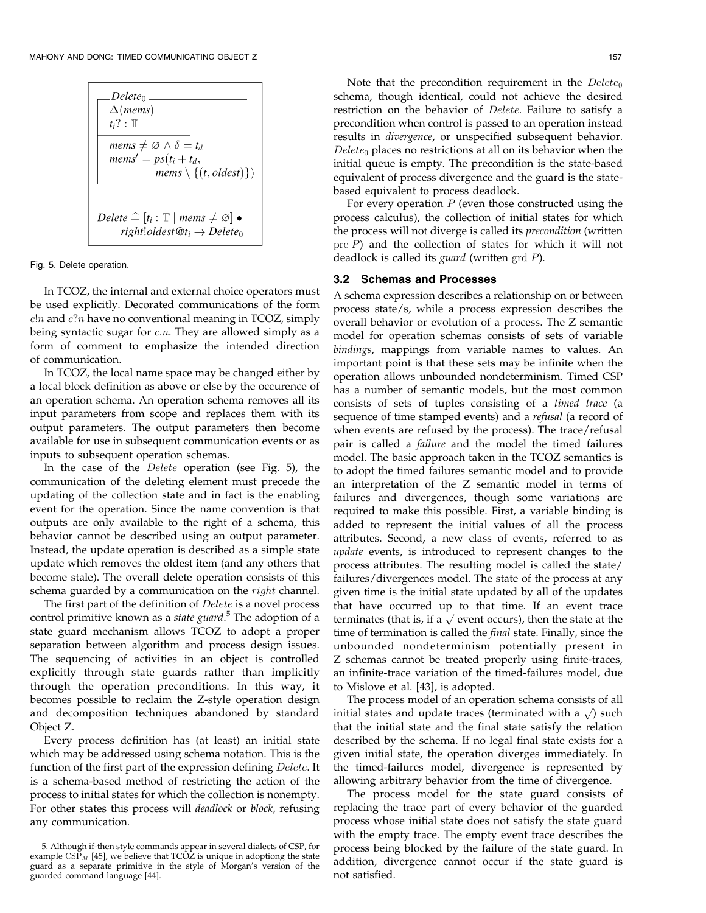$$
Delete_0
$$
\n
$$
t_i? : \mathbb{T}
$$
\n
$$
means \neq \emptyset \land \delta = t_d
$$
\n
$$
means' = ps(t_i + t_d, \dots \dots \land \{(t, oldest)\})
$$
\n
$$
Delete \cong [t_i : \mathbb{T} \mid \dots \neq \emptyset] \bullet
$$
\n
$$
right! oldest@t_i \to Delete_0
$$

Fig. 5. Delete operation.

In TCOZ, the internal and external choice operators must be used explicitly. Decorated communications of the form  $c!n$  and  $c?n$  have no conventional meaning in TCOZ, simply being syntactic sugar for  $c.n$ . They are allowed simply as a form of comment to emphasize the intended direction of communication.

In TCOZ, the local name space may be changed either by a local block definition as above or else by the occurence of an operation schema. An operation schema removes all its input parameters from scope and replaces them with its output parameters. The output parameters then become available for use in subsequent communication events or as inputs to subsequent operation schemas.

In the case of the Delete operation (see Fig. 5), the communication of the deleting element must precede the updating of the collection state and in fact is the enabling event for the operation. Since the name convention is that outputs are only available to the right of a schema, this behavior cannot be described using an output parameter. Instead, the update operation is described as a simple state update which removes the oldest item (and any others that become stale). The overall delete operation consists of this schema guarded by a communication on the right channel.

The first part of the definition of Delete is a novel process control primitive known as a state guard.<sup>5</sup> The adoption of a state guard mechanism allows TCOZ to adopt a proper separation between algorithm and process design issues. The sequencing of activities in an object is controlled explicitly through state guards rather than implicitly through the operation preconditions. In this way, it becomes possible to reclaim the Z-style operation design and decomposition techniques abandoned by standard Object Z.

Every process definition has (at least) an initial state which may be addressed using schema notation. This is the function of the first part of the expression defining Delete. It is a schema-based method of restricting the action of the process to initial states for which the collection is nonempty. For other states this process will deadlock or block, refusing any communication.

Note that the precondition requirement in the  $Delete_0$ schema, though identical, could not achieve the desired restriction on the behavior of Delete. Failure to satisfy a precondition when control is passed to an operation instead results in divergence, or unspecified subsequent behavior.  $Delete_0$  places no restrictions at all on its behavior when the initial queue is empty. The precondition is the state-based equivalent of process divergence and the guard is the statebased equivalent to process deadlock.

For every operation  $P$  (even those constructed using the process calculus), the collection of initial states for which the process will not diverge is called its precondition (written pre P) and the collection of states for which it will not deadlock is called its *guard* (written grd P).

#### 3.2 Schemas and Processes

A schema expression describes a relationship on or between process state/s, while a process expression describes the overall behavior or evolution of a process. The Z semantic model for operation schemas consists of sets of variable bindings, mappings from variable names to values. An important point is that these sets may be infinite when the operation allows unbounded nondeterminism. Timed CSP has a number of semantic models, but the most common consists of sets of tuples consisting of a timed trace (a sequence of time stamped events) and a refusal (a record of when events are refused by the process). The trace/refusal pair is called a failure and the model the timed failures model. The basic approach taken in the TCOZ semantics is to adopt the timed failures semantic model and to provide an interpretation of the Z semantic model in terms of failures and divergences, though some variations are required to make this possible. First, a variable binding is added to represent the initial values of all the process attributes. Second, a new class of events, referred to as update events, is introduced to represent changes to the process attributes. The resulting model is called the state/ failures/divergences model. The state of the process at any given time is the initial state updated by all of the updates that have occurred up to that time. If an event trace terminates (that is, if a  $\sqrt{ }$  event occurs), then the state at the time of termination is called the final state. Finally, since the unbounded nondeterminism potentially present in Z schemas cannot be treated properly using finite-traces, an infinite-trace variation of the timed-failures model, due to Mislove et al. [43], is adopted.

The process model of an operation schema consists of all initial states and update traces (terminated with a  $\sqrt{}$ ) such that the initial state and the final state satisfy the relation described by the schema. If no legal final state exists for a given initial state, the operation diverges immediately. In the timed-failures model, divergence is represented by allowing arbitrary behavior from the time of divergence.

The process model for the state guard consists of replacing the trace part of every behavior of the guarded process whose initial state does not satisfy the state guard with the empty trace. The empty event trace describes the process being blocked by the failure of the state guard. In addition, divergence cannot occur if the state guard is not satisfied.

<sup>5.</sup> Although if-then style commands appear in several dialects of CSP, for example  $\text{CSP}_M$  [45], we believe that TCOZ is unique in adoptiong the state guard as a separate primitive in the style of Morgan's version of the guarded command language [44].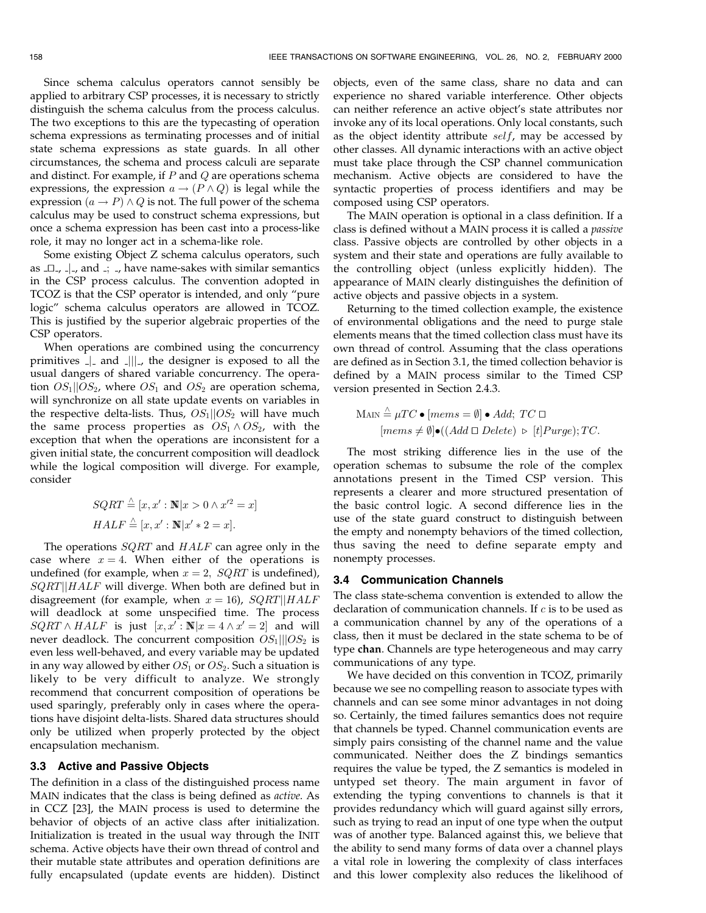Since schema calculus operators cannot sensibly be applied to arbitrary CSP processes, it is necessary to strictly distinguish the schema calculus from the process calculus. The two exceptions to this are the typecasting of operation schema expressions as terminating processes and of initial state schema expressions as state guards. In all other circumstances, the schema and process calculi are separate and distinct. For example, if  $P$  and  $Q$  are operations schema expressions, the expression  $a \rightarrow (P \wedge Q)$  is legal while the expression  $(a \rightarrow P) \land Q$  is not. The full power of the schema calculus may be used to construct schema expressions, but once a schema expression has been cast into a process-like role, it may no longer act in a schema-like role.

Some existing Object Z schema calculus operators, such as  $\Box$ ,  $\Box$ , and  $\Box$ , have name-sakes with similar semantics in the CSP process calculus. The convention adopted in TCOZ is that the CSP operator is intended, and only "pure logicº schema calculus operators are allowed in TCOZ. This is justified by the superior algebraic properties of the CSP operators.

When operations are combined using the concurrency primitives  $\|\cdot\|$  and  $\|\cdot\|$ , the designer is exposed to all the usual dangers of shared variable concurrency. The operation  $OS_1||OS_2$ , where  $OS_1$  and  $OS_2$  are operation schema, will synchronize on all state update events on variables in the respective delta-lists. Thus,  $OS_1||OS_2$  will have much the same process properties as  $OS_1 \wedge OS_2$ , with the exception that when the operations are inconsistent for a given initial state, the concurrent composition will deadlock while the logical composition will diverge. For example, consider

$$
SQRT \stackrel{\triangle}{=} [x, x' : \mathbb{N} | x > 0 \wedge x'^2 = x]
$$
  

$$
HALF \stackrel{\triangle}{=} [x, x' : \mathbb{N} | x' * 2 = x].
$$

The operations *SQRT* and *HALF* can agree only in the case where  $x = 4$ . When either of the operations is undefined (for example, when  $x = 2$ ,  $SQRT$  is undefined),  $SQRT||HALF$  will diverge. When both are defined but in disagreement (for example, when  $x = 16$ ),  $SQRT||HALF$ will deadlock at some unspecified time. The process  $SQRT \wedge HALF$  is just  $[x, x': \mathbb{N} | x = 4 \wedge x' = 2]$  and will never deadlock. The concurrent composition  $OS_1 \parallel \parallel OS_2$  is even less well-behaved, and every variable may be updated in any way allowed by either  $OS_1$  or  $OS_2$ . Such a situation is likely to be very difficult to analyze. We strongly recommend that concurrent composition of operations be used sparingly, preferably only in cases where the operations have disjoint delta-lists. Shared data structures should only be utilized when properly protected by the object encapsulation mechanism.

#### 3.3 Active and Passive Objects

The definition in a class of the distinguished process name MAIN indicates that the class is being defined as active. As in CCZ [23], the MAIN process is used to determine the behavior of objects of an active class after initialization. Initialization is treated in the usual way through the INIT schema. Active objects have their own thread of control and their mutable state attributes and operation definitions are fully encapsulated (update events are hidden). Distinct

objects, even of the same class, share no data and can experience no shared variable interference. Other objects can neither reference an active object's state attributes nor invoke any of its local operations. Only local constants, such as the object identity attribute  $self$ , may be accessed by other classes. All dynamic interactions with an active object must take place through the CSP channel communication mechanism. Active objects are considered to have the syntactic properties of process identifiers and may be composed using CSP operators.

The MAIN operation is optional in a class definition. If a class is defined without a MAIN process it is called a passive class. Passive objects are controlled by other objects in a system and their state and operations are fully available to the controlling object (unless explicitly hidden). The appearance of MAIN clearly distinguishes the definition of active objects and passive objects in a system.

Returning to the timed collection example, the existence of environmental obligations and the need to purge stale elements means that the timed collection class must have its own thread of control. Assuming that the class operations are defined as in Section 3.1, the timed collection behavior is defined by a MAIN process similar to the Timed CSP version presented in Section 2.4.3.

$$
\text{MAN} \stackrel{\triangle}{=} \mu TC \bullet [mens = \emptyset] \bullet Add; \ TC \ \Box
$$
\n
$$
[mems \neq \emptyset] \bullet ((Add \ \Box \ Delete) \ \triangleright \ [t]Purge); TC.
$$

The most striking difference lies in the use of the operation schemas to subsume the role of the complex annotations present in the Timed CSP version. This represents a clearer and more structured presentation of the basic control logic. A second difference lies in the use of the state guard construct to distinguish between the empty and nonempty behaviors of the timed collection, thus saving the need to define separate empty and nonempty processes.

#### 3.4 Communication Channels

The class state-schema convention is extended to allow the declaration of communication channels. If  $c$  is to be used as a communication channel by any of the operations of a class, then it must be declared in the state schema to be of type chan. Channels are type heterogeneous and may carry communications of any type.

We have decided on this convention in TCOZ, primarily because we see no compelling reason to associate types with channels and can see some minor advantages in not doing so. Certainly, the timed failures semantics does not require that channels be typed. Channel communication events are simply pairs consisting of the channel name and the value communicated. Neither does the Z bindings semantics requires the value be typed, the Z semantics is modeled in untyped set theory. The main argument in favor of extending the typing conventions to channels is that it provides redundancy which will guard against silly errors, such as trying to read an input of one type when the output was of another type. Balanced against this, we believe that the ability to send many forms of data over a channel plays a vital role in lowering the complexity of class interfaces and this lower complexity also reduces the likelihood of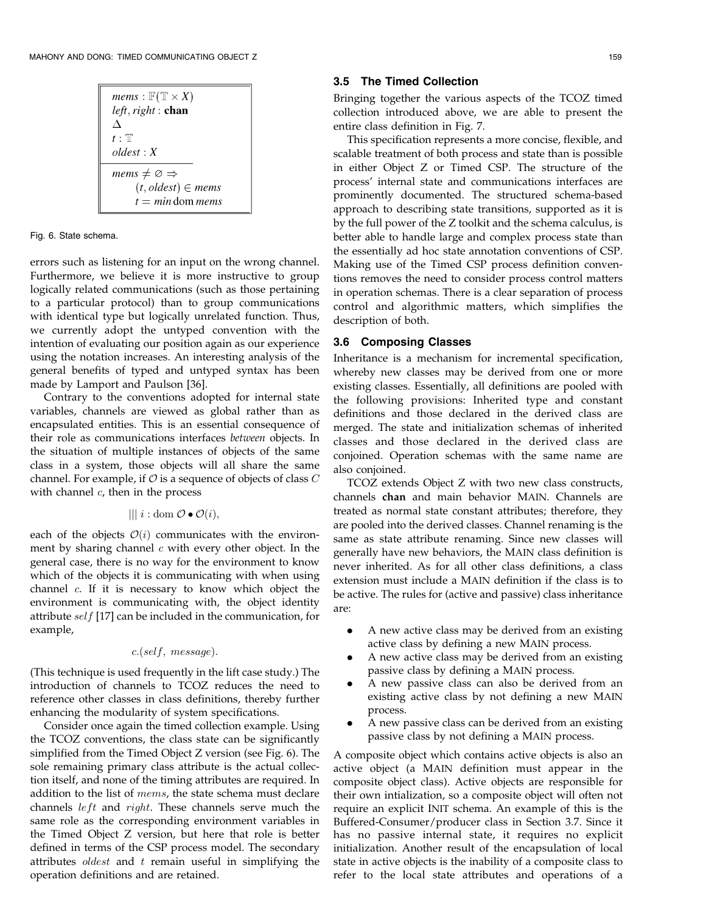MAHONY AND DONG: TIMED COMMUNICATING OBJECT Z 159

$$
means: \mathbb{F}(\mathbb{T} \times X)
$$
  
left, right: **chan**  
 $\Delta$   
 $t: \mathbb{T}$   
oldest: X  
mens  $\neq \emptyset \Rightarrow$   
 $(t, oldest) \in mens$   
 $t = min \text{ dom } mens$ 

#### Fig. 6. State schema.

errors such as listening for an input on the wrong channel. Furthermore, we believe it is more instructive to group logically related communications (such as those pertaining to a particular protocol) than to group communications with identical type but logically unrelated function. Thus, we currently adopt the untyped convention with the intention of evaluating our position again as our experience using the notation increases. An interesting analysis of the general benefits of typed and untyped syntax has been made by Lamport and Paulson [36].

Contrary to the conventions adopted for internal state variables, channels are viewed as global rather than as encapsulated entities. This is an essential consequence of their role as communications interfaces between objects. In the situation of multiple instances of objects of the same class in a system, those objects will all share the same channel. For example, if  $\mathcal O$  is a sequence of objects of class  $C$ with channel  $c$ , then in the process

## $||| i : \text{dom } \mathcal{O} \bullet \mathcal{O}(i),$

each of the objects  $\mathcal{O}(i)$  communicates with the environment by sharing channel  $c$  with every other object. In the general case, there is no way for the environment to know which of the objects it is communicating with when using channel c. If it is necessary to know which object the environment is communicating with, the object identity attribute self [17] can be included in the communication, for example,

#### $c. (self, message).$

(This technique is used frequently in the lift case study.) The introduction of channels to TCOZ reduces the need to reference other classes in class definitions, thereby further enhancing the modularity of system specifications.

Consider once again the timed collection example. Using the TCOZ conventions, the class state can be significantly simplified from the Timed Object Z version (see Fig. 6). The sole remaining primary class attribute is the actual collection itself, and none of the timing attributes are required. In addition to the list of mems, the state schema must declare channels  $left$  and  $right$ . These channels serve much the same role as the corresponding environment variables in the Timed Object Z version, but here that role is better defined in terms of the CSP process model. The secondary attributes  $oldest$  and  $t$  remain useful in simplifying the operation definitions and are retained.

#### 3.5 The Timed Collection

Bringing together the various aspects of the TCOZ timed collection introduced above, we are able to present the entire class definition in Fig. 7.

This specification represents a more concise, flexible, and scalable treatment of both process and state than is possible in either Object Z or Timed CSP. The structure of the process' internal state and communications interfaces are prominently documented. The structured schema-based approach to describing state transitions, supported as it is by the full power of the Z toolkit and the schema calculus, is better able to handle large and complex process state than the essentially ad hoc state annotation conventions of CSP. Making use of the Timed CSP process definition conventions removes the need to consider process control matters in operation schemas. There is a clear separation of process control and algorithmic matters, which simplifies the description of both.

## 3.6 Composing Classes

Inheritance is a mechanism for incremental specification, whereby new classes may be derived from one or more existing classes. Essentially, all definitions are pooled with the following provisions: Inherited type and constant definitions and those declared in the derived class are merged. The state and initialization schemas of inherited classes and those declared in the derived class are conjoined. Operation schemas with the same name are also conjoined.

TCOZ extends Object Z with two new class constructs, channels chan and main behavior MAIN. Channels are treated as normal state constant attributes; therefore, they are pooled into the derived classes. Channel renaming is the same as state attribute renaming. Since new classes will generally have new behaviors, the MAIN class definition is never inherited. As for all other class definitions, a class extension must include a MAIN definition if the class is to be active. The rules for (active and passive) class inheritance are:

- . A new active class may be derived from an existing active class by defining a new MAIN process.
- . A new active class may be derived from an existing passive class by defining a MAIN process.
- . A new passive class can also be derived from an existing active class by not defining a new MAIN process.
- . A new passive class can be derived from an existing passive class by not defining a MAIN process.

A composite object which contains active objects is also an active object (a MAIN definition must appear in the composite object class). Active objects are responsible for their own intialization, so a composite object will often not require an explicit INIT schema. An example of this is the Buffered-Consumer/producer class in Section 3.7. Since it has no passive internal state, it requires no explicit initialization. Another result of the encapsulation of local state in active objects is the inability of a composite class to refer to the local state attributes and operations of a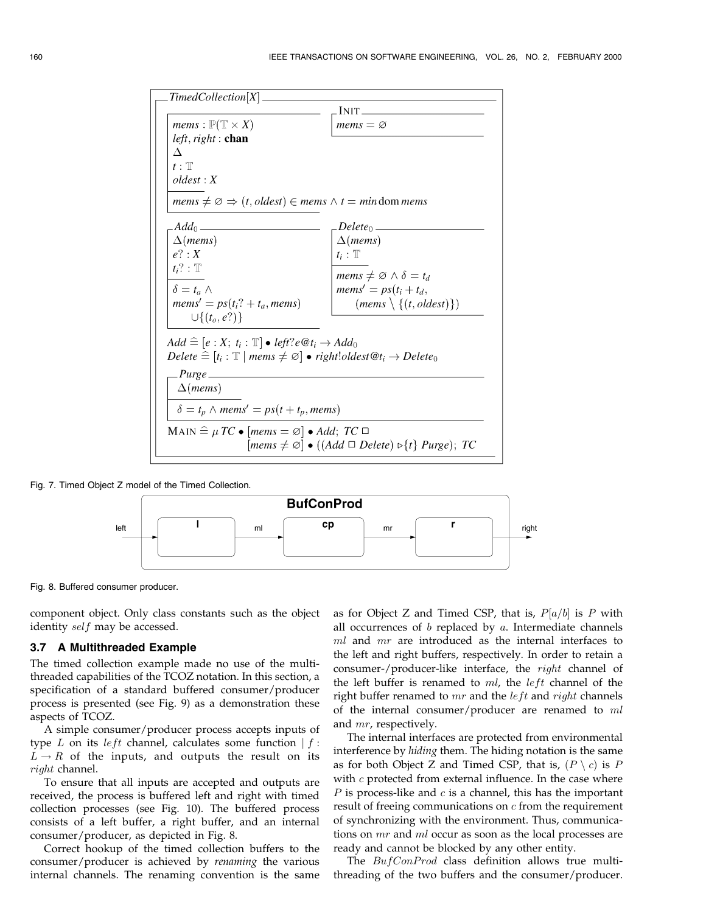| TimedCollection[X]                                                                                                        |                                                                                         |  |
|---------------------------------------------------------------------------------------------------------------------------|-----------------------------------------------------------------------------------------|--|
|                                                                                                                           | - Init                                                                                  |  |
| <i>mems</i> : $\mathbb{P}(\mathbb{T} \times X)$                                                                           | $mems = \varnothing$                                                                    |  |
| $left, right:$ chan                                                                                                       |                                                                                         |  |
| Л                                                                                                                         |                                                                                         |  |
| $t:\mathbb{T}$                                                                                                            |                                                                                         |  |
| oldest : X                                                                                                                |                                                                                         |  |
| mems $\neq \emptyset \Rightarrow (t, oldest) \in mems \land t = min dom mems$                                             |                                                                                         |  |
|                                                                                                                           | Delete <sub>n</sub> _____                                                               |  |
| $\Delta(mems)$                                                                                                            | $\Delta$ (mems)                                                                         |  |
| $e^2: X$                                                                                                                  | $t_i : \mathbb{T}$                                                                      |  |
| $t_i$ ?: T                                                                                                                |                                                                                         |  |
|                                                                                                                           | mems $\neq \emptyset \wedge \delta = t_d$                                               |  |
| $\delta = t_a \wedge$                                                                                                     | $\textit{mems}' = \textit{ps}(t_i + t_d,$                                               |  |
| $mens' = ps(ti? + ta, mens)$                                                                                              | $(mems \setminus \{(t, oldest)\})$                                                      |  |
| $\cup \{(t_o, e?)\}$                                                                                                      |                                                                                         |  |
| $Add \widehat{=} [e : X; t_i : \mathbb{T}] \bullet left? e @ t_i \rightarrow Add_0$                                       |                                                                                         |  |
| Delete $\widehat{=}\left[t_i:\mathbb{T}\mid \text{mems}\neq\varnothing\right]$ • right!oldest $@t_i \rightarrow Delete_0$ |                                                                                         |  |
| Purge.                                                                                                                    |                                                                                         |  |
| $\Delta(mems)$                                                                                                            |                                                                                         |  |
| $\delta = t_p \wedge \textit{mems}' = \textit{ps}(t + t_p, \textit{mems})$                                                |                                                                                         |  |
| MAIN $\widehat{=}\mu \textit{T}C \bullet \textit{[mens} = \varnothing] \bullet Add; \textit{T}C \square$                  |                                                                                         |  |
|                                                                                                                           | $[mems \neq \emptyset] \bullet ((Add \square Delete) \triangleright \{t\} \ Pure) ; TC$ |  |

Fig. 7. Timed Object Z model of the Timed Collection.



Fig. 8. Buffered consumer producer.

component object. Only class constants such as the object identity self may be accessed.

#### 3.7 A Multithreaded Example

The timed collection example made no use of the multithreaded capabilities of the TCOZ notation. In this section, a specification of a standard buffered consumer/producer process is presented (see Fig. 9) as a demonstration these aspects of TCOZ.

A simple consumer/producer process accepts inputs of type L on its left channel, calculates some function  $| f :$  $L \rightarrow R$  of the inputs, and outputs the result on its right channel.

To ensure that all inputs are accepted and outputs are received, the process is buffered left and right with timed collection processes (see Fig. 10). The buffered process consists of a left buffer, a right buffer, and an internal consumer/producer, as depicted in Fig. 8.

Correct hookup of the timed collection buffers to the consumer/producer is achieved by renaming the various internal channels. The renaming convention is the same

as for Object Z and Timed CSP, that is,  $P[a/b]$  is P with all occurrences of  $b$  replaced by  $a$ . Intermediate channels  $ml$  and  $mr$  are introduced as the internal interfaces to the left and right buffers, respectively. In order to retain a consumer-/producer-like interface, the right channel of the left buffer is renamed to  $ml$ , the  $left$  channel of the right buffer renamed to  $mr$  and the  $left$  and  $right$  channels of the internal consumer/producer are renamed to  $ml$ and mr, respectively.

The internal interfaces are protected from environmental interference by *hiding* them. The hiding notation is the same as for both Object Z and Timed CSP, that is,  $(P \setminus c)$  is P with  $c$  protected from external influence. In the case where  $P$  is process-like and  $c$  is a channel, this has the important result of freeing communications on  $c$  from the requirement of synchronizing with the environment. Thus, communications on mr and ml occur as soon as the local processes are ready and cannot be blocked by any other entity.

The  $BufConProd$  class definition allows true multithreading of the two buffers and the consumer/producer.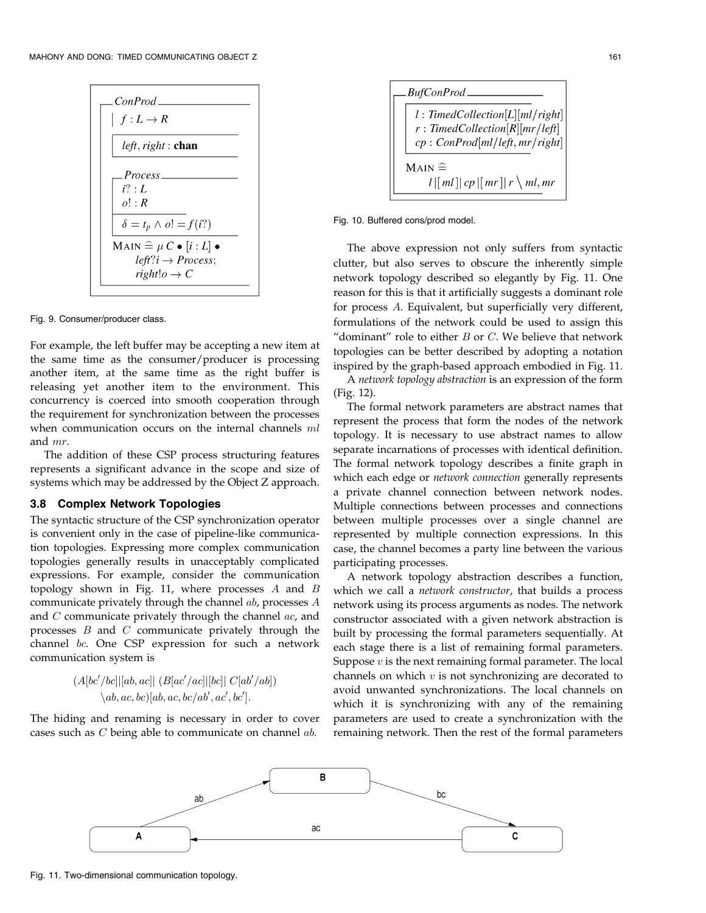

Fig. 9. Consumer/producer class.

For example, the left buffer may be accepting a new item at the same time as the consumer/producer is processing another item, at the same time as the right buffer is releasing yet another item to the environment. This concurrency is coerced into smooth cooperation through the requirement for synchronization between the processes when communication occurs on the internal channels  $ml$ and mr.

The addition of these CSP process structuring features represents a significant advance in the scope and size of systems which may be addressed by the Object Z approach.

#### 3.8 Complex Network Topologies

The syntactic structure of the CSP synchronization operator is convenient only in the case of pipeline-like communication topologies. Expressing more complex communication topologies generally results in unacceptably complicated expressions. For example, consider the communication topology shown in Fig. 11, where processes  $A$  and  $B$ communicate privately through the channel  $ab$ , processes  $A$ and  $C$  communicate privately through the channel  $ac$ , and processes  $B$  and  $C$  communicate privately through the channel bc. One CSP expression for such a network communication system is

$$
(A[bc'/bc][[ab,ac]] (B[ac'/ac]][bc]] C[ab'/ab])
$$
  

$$
\langle ab, ac, bc)[ab, ac, bc/ab', ac', bc']
$$
.

The hiding and renaming is necessary in order to cover cases such as  $C$  being able to communicate on channel  $ab$ .



Fig. 10. Buffered cons/prod model.

The above expression not only suffers from syntactic clutter, but also serves to obscure the inherently simple network topology described so elegantly by Fig. 11. One reason for this is that it artificially suggests a dominant role for process A. Equivalent, but superficially very different, formulations of the network could be used to assign this "dominant" role to either  $B$  or  $C$ . We believe that network topologies can be better described by adopting a notation inspired by the graph-based approach embodied in Fig. 11.

A network topology abstraction is an expression of the form (Fig. 12).

The formal network parameters are abstract names that represent the process that form the nodes of the network topology. It is necessary to use abstract names to allow separate incarnations of processes with identical definition. The formal network topology describes a finite graph in which each edge or network connection generally represents a private channel connection between network nodes. Multiple connections between processes and connections between multiple processes over a single channel are represented by multiple connection expressions. In this case, the channel becomes a party line between the various participating processes.

A network topology abstraction describes a function, which we call a network constructor, that builds a process network using its process arguments as nodes. The network constructor associated with a given network abstraction is built by processing the formal parameters sequentially. At each stage there is a list of remaining formal parameters. Suppose  $v$  is the next remaining formal parameter. The local channels on which  $v$  is not synchronizing are decorated to avoid unwanted synchronizations. The local channels on which it is synchronizing with any of the remaining parameters are used to create a synchronization with the remaining network. Then the rest of the formal parameters



Fig. 11. Two-dimensional communication topology.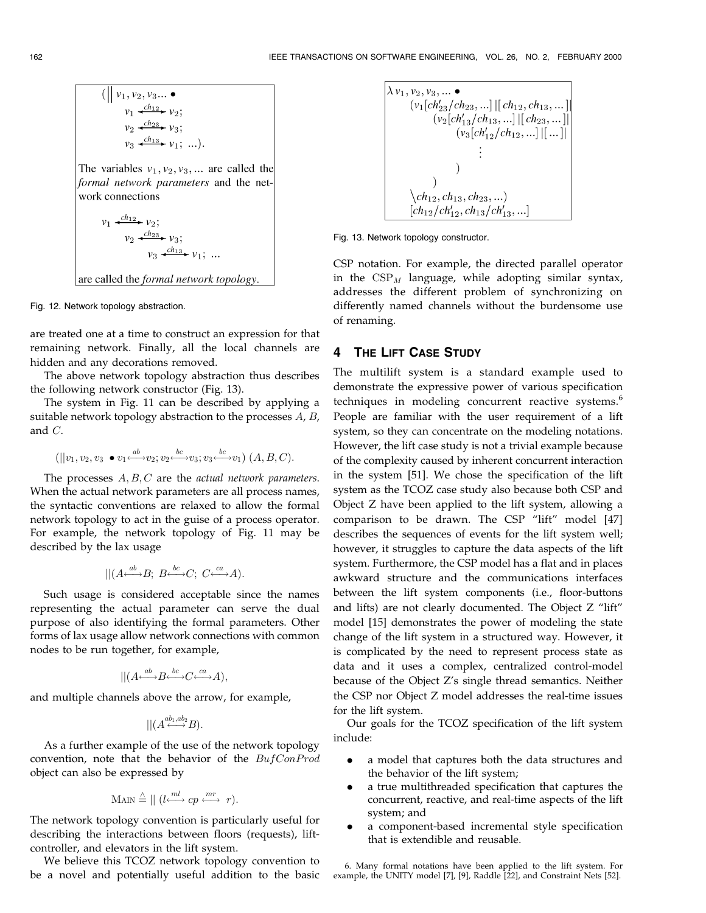$\left( \left\| v_1, v_2, v_3 ... \right.\right)$  $v_1 \xrightarrow{ch_{12}} v_2$ ;  $v_2 \xrightarrow{ch_{23}} v_3$ ;  $v_3 \xrightarrow{ch_{13}} v_1$ ; ...). The variables  $v_1, v_2, v_3, \dots$  are called the formal network parameters and the network connections  $v_1 \xrightarrow{ch_{12}} v_2$ ;  $v_2 \xrightarrow{ch_{23}} v_3$ ;<br> $v_3 \xrightarrow{ch_{13}} v_1$ ; ...

## are called the formal network topology.

#### Fig. 12. Network topology abstraction.

are treated one at a time to construct an expression for that remaining network. Finally, all the local channels are hidden and any decorations removed.

The above network topology abstraction thus describes the following network constructor (Fig. 13).

The system in Fig. 11 can be described by applying a suitable network topology abstraction to the processes  $A$ ,  $B$ , and C.

$$
(||v_1, v_2, v_3 \bullet v_1 \xleftrightarrow{ab} v_2; v_2 \xleftrightarrow{bc} v_3; v_3 \xleftrightarrow{bc} v_1) (A, B, C).
$$

The processes  $A, B, C$  are the actual network parameters. When the actual network parameters are all process names, the syntactic conventions are relaxed to allow the formal network topology to act in the guise of a process operator. For example, the network topology of Fig. 11 may be described by the lax usage

$$
||(A \xrightarrow{ab} B; B \xrightarrow{bc} C; C \xrightarrow{ca} A).
$$

Such usage is considered acceptable since the names representing the actual parameter can serve the dual purpose of also identifying the formal parameters. Other forms of lax usage allow network connections with common nodes to be run together, for example,

$$
|| (A \xrightarrow{ab} B \xrightarrow{bc} C \xrightarrow{ca} A),
$$

and multiple channels above the arrow, for example,

$$
\| (A^{\underline{ab_1}, \underline{ab_2}} B).
$$

As a further example of the use of the network topology convention, note that the behavior of the  $BufConProd$ object can also be expressed by

$$
\text{MAN} \stackrel{\wedge}{=} || (l \stackrel{ml}{\longleftrightarrow} cp \stackrel{mr}{\longleftrightarrow} r).
$$

The network topology convention is particularly useful for describing the interactions between floors (requests), liftcontroller, and elevators in the lift system.

We believe this TCOZ network topology convention to be a novel and potentially useful addition to the basic

$$
\lambda v_1, v_2, v_3, \dots \bullet
$$
\n
$$
(v_1[ch'_{23}/ch_{23}, \dots] | [ch_{12}, ch_{13}, \dots] | (v_2[ch'_{13}/ch_{13}, \dots] | [ch_{23}, \dots] | (v_3[ch'_{12}/ch_{12}, \dots] | [...] |
$$
\n
$$
\vdots
$$
\n
$$
\cdot )
$$
\n
$$
(h_{12}, ch_{13}, ch_{23}, \dots)
$$
\n
$$
[ch_{12}/ch'_{12}, ch_{13}/ch'_{13}, \dots]
$$

Fig. 13. Network topology constructor.

CSP notation. For example, the directed parallel operator in the  $CSP_M$  language, while adopting similar syntax, addresses the different problem of synchronizing on differently named channels without the burdensome use of renaming.

#### 4 THE LIFT CASE STUDY

The multilift system is a standard example used to demonstrate the expressive power of various specification techniques in modeling concurrent reactive systems.<sup>6</sup> People are familiar with the user requirement of a lift system, so they can concentrate on the modeling notations. However, the lift case study is not a trivial example because of the complexity caused by inherent concurrent interaction in the system [51]. We chose the specification of the lift system as the TCOZ case study also because both CSP and Object Z have been applied to the lift system, allowing a comparison to be drawn. The CSP "lift" model  $[47]$ describes the sequences of events for the lift system well; however, it struggles to capture the data aspects of the lift system. Furthermore, the CSP model has a flat and in places awkward structure and the communications interfaces between the lift system components (i.e., floor-buttons and lifts) are not clearly documented. The Object Z "lift" model [15] demonstrates the power of modeling the state change of the lift system in a structured way. However, it is complicated by the need to represent process state as data and it uses a complex, centralized control-model because of the Object Z's single thread semantics. Neither the CSP nor Object Z model addresses the real-time issues for the lift system.

Our goals for the TCOZ specification of the lift system include:

- . a model that captures both the data structures and the behavior of the lift system;
- . a true multithreaded specification that captures the concurrent, reactive, and real-time aspects of the lift system; and
- . a component-based incremental style specification that is extendible and reusable.

6. Many formal notations have been applied to the lift system. For example, the UNITY model [7], [9], Raddle [22], and Constraint Nets [52].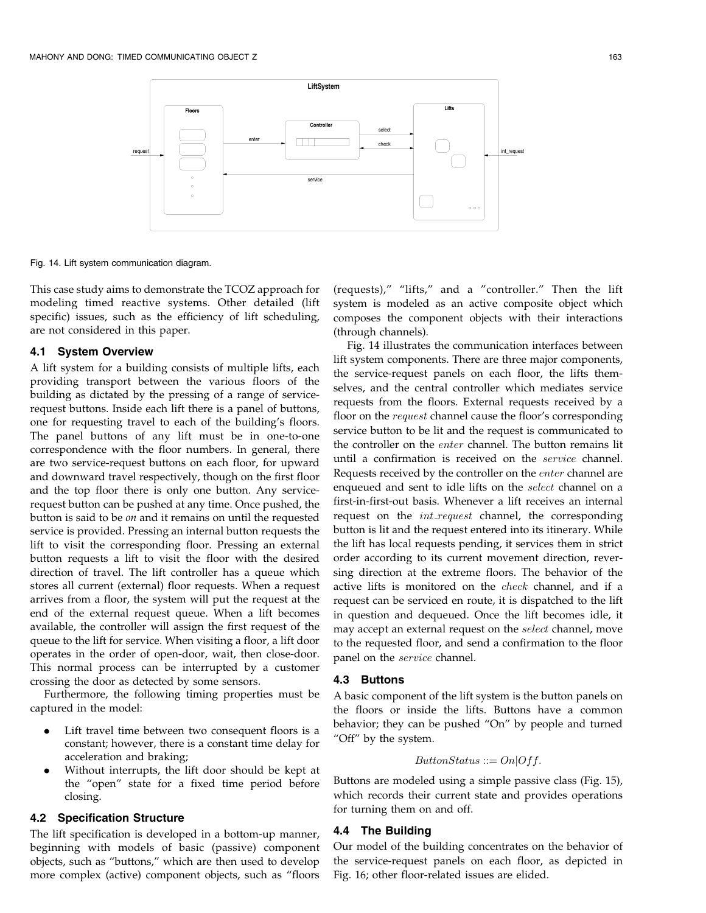

Fig. 14. Lift system communication diagram.

This case study aims to demonstrate the TCOZ approach for modeling timed reactive systems. Other detailed (lift specific) issues, such as the efficiency of lift scheduling, are not considered in this paper.

#### 4.1 System Overview

A lift system for a building consists of multiple lifts, each providing transport between the various floors of the building as dictated by the pressing of a range of servicerequest buttons. Inside each lift there is a panel of buttons, one for requesting travel to each of the building's floors. The panel buttons of any lift must be in one-to-one correspondence with the floor numbers. In general, there are two service-request buttons on each floor, for upward and downward travel respectively, though on the first floor and the top floor there is only one button. Any servicerequest button can be pushed at any time. Once pushed, the button is said to be on and it remains on until the requested service is provided. Pressing an internal button requests the lift to visit the corresponding floor. Pressing an external button requests a lift to visit the floor with the desired direction of travel. The lift controller has a queue which stores all current (external) floor requests. When a request arrives from a floor, the system will put the request at the end of the external request queue. When a lift becomes available, the controller will assign the first request of the queue to the lift for service. When visiting a floor, a lift door operates in the order of open-door, wait, then close-door. This normal process can be interrupted by a customer crossing the door as detected by some sensors.

Furthermore, the following timing properties must be captured in the model:

- Lift travel time between two consequent floors is a constant; however, there is a constant time delay for acceleration and braking;
- . Without interrupts, the lift door should be kept at the "open" state for a fixed time period before closing.

#### 4.2 Specification Structure

The lift specification is developed in a bottom-up manner, beginning with models of basic (passive) component objects, such as "buttons," which are then used to develop more complex (active) component objects, such as "floors

(requests),º ªlifts,º and a ºcontroller.º Then the lift system is modeled as an active composite object which composes the component objects with their interactions (through channels).

Fig. 14 illustrates the communication interfaces between lift system components. There are three major components, the service-request panels on each floor, the lifts themselves, and the central controller which mediates service requests from the floors. External requests received by a floor on the request channel cause the floor's corresponding service button to be lit and the request is communicated to the controller on the *enter* channel. The button remains lit until a confirmation is received on the service channel. Requests received by the controller on the *enter* channel are enqueued and sent to idle lifts on the select channel on a first-in-first-out basis. Whenever a lift receives an internal request on the *int request* channel, the corresponding button is lit and the request entered into its itinerary. While the lift has local requests pending, it services them in strict order according to its current movement direction, reversing direction at the extreme floors. The behavior of the active lifts is monitored on the check channel, and if a request can be serviced en route, it is dispatched to the lift in question and dequeued. Once the lift becomes idle, it may accept an external request on the select channel, move to the requested floor, and send a confirmation to the floor panel on the service channel.

#### 4.3 Buttons

A basic component of the lift system is the button panels on the floors or inside the lifts. Buttons have a common behavior; they can be pushed "On" by people and turned "Off" by the system.

#### $But tonStatus ::= On|Off.$

Buttons are modeled using a simple passive class (Fig. 15), which records their current state and provides operations for turning them on and off.

#### 4.4 The Building

Our model of the building concentrates on the behavior of the service-request panels on each floor, as depicted in Fig. 16; other floor-related issues are elided.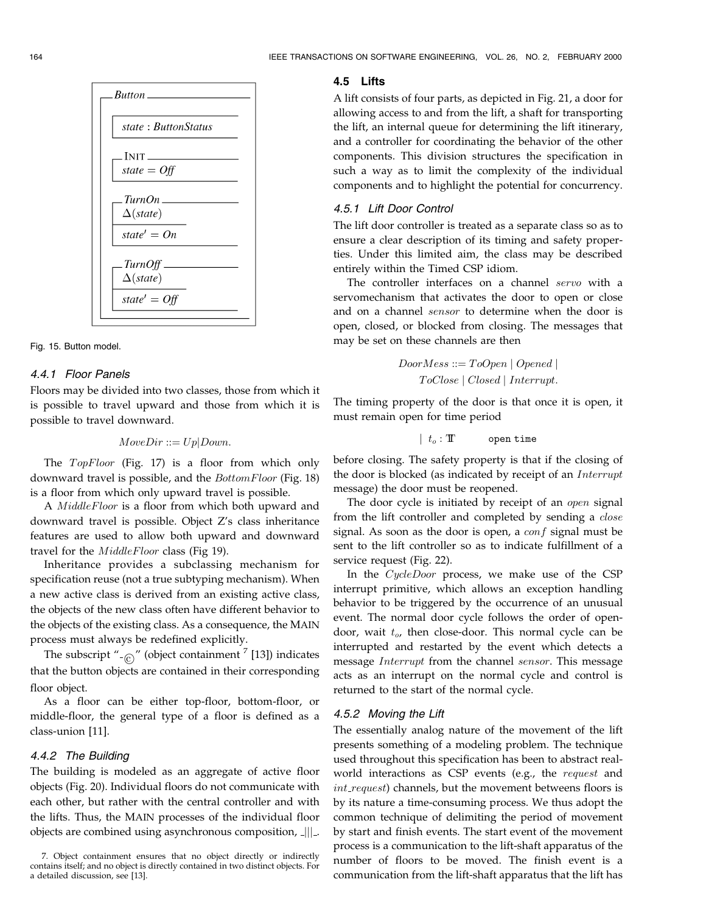



## 4.4.1 Floor Panels

Floors may be divided into two classes, those from which it is possible to travel upward and those from which it is possible to travel downward.

#### $MoveDir ::= Up|Down.$

The  $Top Floor$  (Fig. 17) is a floor from which only downward travel is possible, and the BottomFloor (Fig. 18) is a floor from which only upward travel is possible.

A MiddleFloor is a floor from which both upward and downward travel is possible. Object Z's class inheritance features are used to allow both upward and downward travel for the *MiddleFloor* class (Fig 19).

Inheritance provides a subclassing mechanism for specification reuse (not a true subtyping mechanism). When a new active class is derived from an existing active class, the objects of the new class often have different behavior to the objects of the existing class. As a consequence, the MAIN process must always be redefined explicitly.

The subscript " $_{\sim}$ " (object containment <sup>7</sup> [13]) indicates that the button objects are contained in their corresponding floor object.

As a floor can be either top-floor, bottom-floor, or middle-floor, the general type of a floor is defined as a class-union [11].

#### 4.4.2 The Building

The building is modeled as an aggregate of active floor objects (Fig. 20). Individual floors do not communicate with each other, but rather with the central controller and with the lifts. Thus, the MAIN processes of the individual floor objects are combined using asynchronous composition,  $\Box$ .

## 4.5 Lifts

A lift consists of four parts, as depicted in Fig. 21, a door for allowing access to and from the lift, a shaft for transporting the lift, an internal queue for determining the lift itinerary, and a controller for coordinating the behavior of the other components. This division structures the specification in such a way as to limit the complexity of the individual components and to highlight the potential for concurrency.

## 4.5.1 Lift Door Control

The lift door controller is treated as a separate class so as to ensure a clear description of its timing and safety properties. Under this limited aim, the class may be described entirely within the Timed CSP idiom.

The controller interfaces on a channel servo with a servomechanism that activates the door to open or close and on a channel sensor to determine when the door is open, closed, or blocked from closing. The messages that may be set on these channels are then

$$
DoorMessage ::= ToOpen | Opened |
$$

$$
ToClose | Closed | InterruptedException
$$

The timing property of the door is that once it is open, it must remain open for time period

$$
|\ \ t_o : {\rm T} \qquad \qquad \text{open time}
$$

before closing. The safety property is that if the closing of the door is blocked (as indicated by receipt of an *Interrupt* message) the door must be reopened.

The door cycle is initiated by receipt of an *open* signal from the lift controller and completed by sending a *close* signal. As soon as the door is open, a conf signal must be sent to the lift controller so as to indicate fulfillment of a service request (Fig. 22).

In the CycleDoor process, we make use of the CSP interrupt primitive, which allows an exception handling behavior to be triggered by the occurrence of an unusual event. The normal door cycle follows the order of opendoor, wait  $t_o$ , then close-door. This normal cycle can be interrupted and restarted by the event which detects a message Interrupt from the channel sensor. This message acts as an interrupt on the normal cycle and control is returned to the start of the normal cycle.

## 4.5.2 Moving the Lift

The essentially analog nature of the movement of the lift presents something of a modeling problem. The technique used throughout this specification has been to abstract realworld interactions as CSP events (e.g., the request and int request) channels, but the movement betweens floors is by its nature a time-consuming process. We thus adopt the common technique of delimiting the period of movement by start and finish events. The start event of the movement process is a communication to the lift-shaft apparatus of the number of floors to be moved. The finish event is a communication from the lift-shaft apparatus that the lift has

<sup>7.</sup> Object containment ensures that no object directly or indirectly contains itself; and no object is directly contained in two distinct objects. For a detailed discussion, see [13].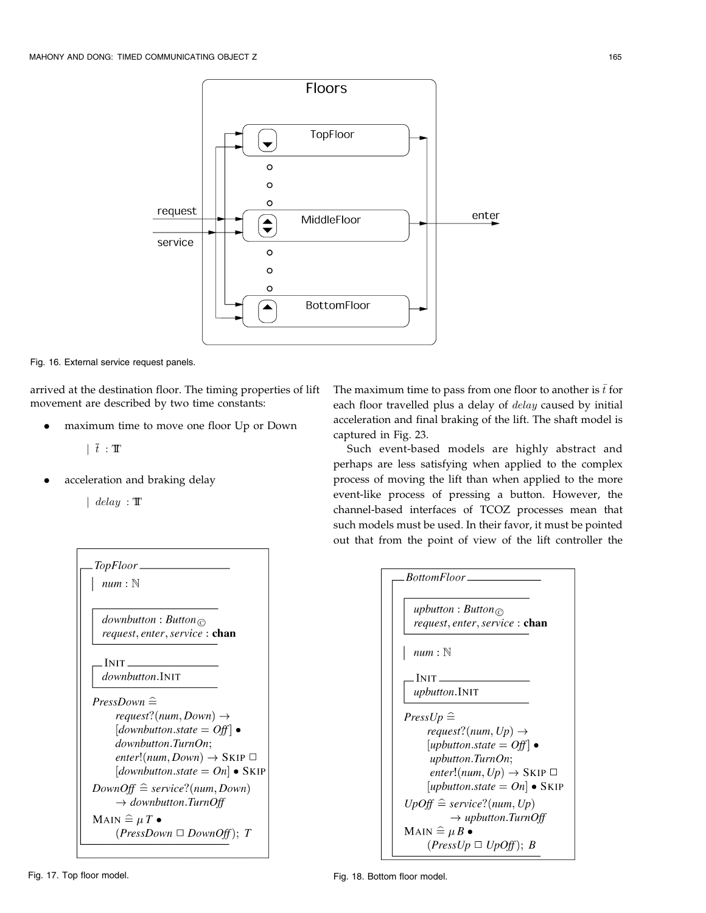

Fig. 16. External service request panels.

arrived at the destination floor. The timing properties of lift movement are described by two time constants:

. maximum time to move one floor Up or Down

 $\vert \bar{t} : \mathbf{T}$ 

. acceleration and braking delay

| delay :  $\mathbb{T}$ 



The maximum time to pass from one floor to another is  $\bar{t}$  for each floor travelled plus a delay of delay caused by initial acceleration and final braking of the lift. The shaft model is captured in Fig. 23.

Such event-based models are highly abstract and perhaps are less satisfying when applied to the complex process of moving the lift than when applied to the more event-like process of pressing a button. However, the channel-based interfaces of TCOZ processes mean that such models must be used. In their favor, it must be pointed out that from the point of view of the lift controller the

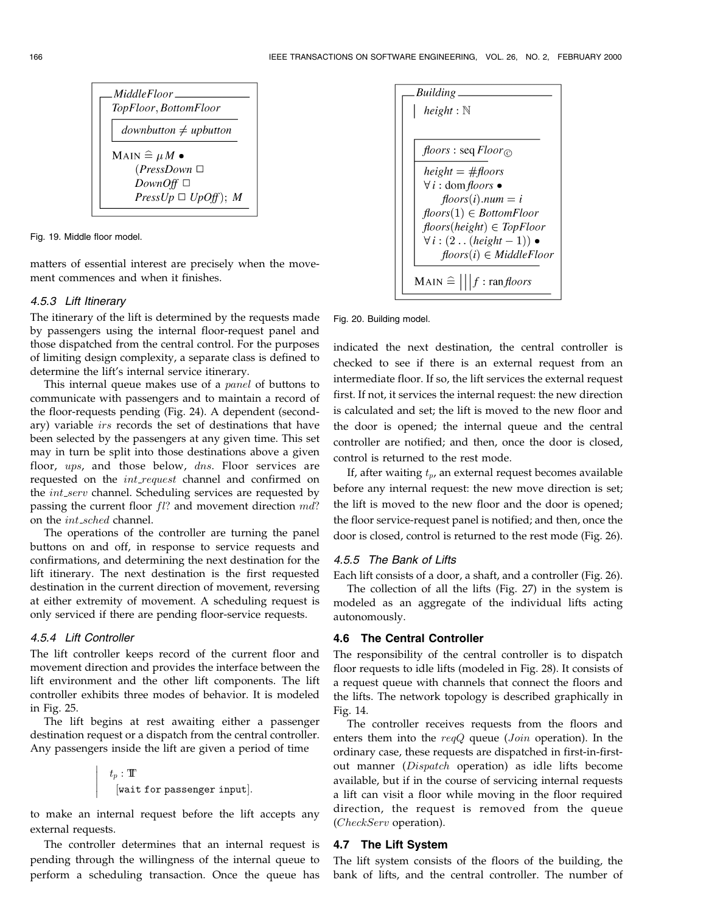| MiddleFloor                                                          |
|----------------------------------------------------------------------|
| TopFloor, BottomFloor                                                |
| $down button \neq up button$                                         |
| $\text{MAIN} \mathrel{\hat{=}} \mu M$ $\bullet$<br>$(PressDown \Box$ |
| $DownOff \square$                                                    |
| $PressUp \square UpOff); M$                                          |

Fig. 19. Middle floor model.

matters of essential interest are precisely when the movement commences and when it finishes.

#### 4.5.3 Lift Itinerary

The itinerary of the lift is determined by the requests made by passengers using the internal floor-request panel and those dispatched from the central control. For the purposes of limiting design complexity, a separate class is defined to determine the lift's internal service itinerary.

This internal queue makes use of a *panel* of buttons to communicate with passengers and to maintain a record of the floor-requests pending (Fig. 24). A dependent (secondary) variable *irs* records the set of destinations that have been selected by the passengers at any given time. This set may in turn be split into those destinations above a given floor, ups, and those below, dns. Floor services are requested on the *int\_request* channel and confirmed on the *int\_serv* channel. Scheduling services are requested by passing the current floor  $fl$ ? and movement direction  $md$ ? on the *int\_sched* channel.

The operations of the controller are turning the panel buttons on and off, in response to service requests and confirmations, and determining the next destination for the lift itinerary. The next destination is the first requested destination in the current direction of movement, reversing at either extremity of movement. A scheduling request is only serviced if there are pending floor-service requests.

#### 4.5.4 Lift Controller

 $\begin{array}{c} \begin{array}{c} \begin{array}{c} \begin{array}{c} \end{array}\\ \end{array} \end{array} \end{array} \end{array}$ 

The lift controller keeps record of the current floor and movement direction and provides the interface between the lift environment and the other lift components. The lift controller exhibits three modes of behavior. It is modeled in Fig. 25.

The lift begins at rest awaiting either a passenger destination request or a dispatch from the central controller. Any passengers inside the lift are given a period of time

```
t_p: {\bf T}[wait for passenger input].
```
to make an internal request before the lift accepts any external requests.

The controller determines that an internal request is pending through the willingness of the internal queue to perform a scheduling transaction. Once the queue has



Fig. 20. Building model.

indicated the next destination, the central controller is checked to see if there is an external request from an intermediate floor. If so, the lift services the external request first. If not, it services the internal request: the new direction is calculated and set; the lift is moved to the new floor and the door is opened; the internal queue and the central controller are notified; and then, once the door is closed, control is returned to the rest mode.

If, after waiting  $t_p$ , an external request becomes available before any internal request: the new move direction is set; the lift is moved to the new floor and the door is opened; the floor service-request panel is notified; and then, once the door is closed, control is returned to the rest mode (Fig. 26).

#### 4.5.5 The Bank of Lifts

Each lift consists of a door, a shaft, and a controller (Fig. 26).

The collection of all the lifts (Fig. 27) in the system is modeled as an aggregate of the individual lifts acting autonomously.

## 4.6 The Central Controller

The responsibility of the central controller is to dispatch floor requests to idle lifts (modeled in Fig. 28). It consists of a request queue with channels that connect the floors and the lifts. The network topology is described graphically in Fig. 14.

The controller receives requests from the floors and enters them into the reqQ queue (Join operation). In the ordinary case, these requests are dispatched in first-in-firstout manner (Dispatch operation) as idle lifts become available, but if in the course of servicing internal requests a lift can visit a floor while moving in the floor required direction, the request is removed from the queue (CheckServ operation).

#### 4.7 The Lift System

The lift system consists of the floors of the building, the bank of lifts, and the central controller. The number of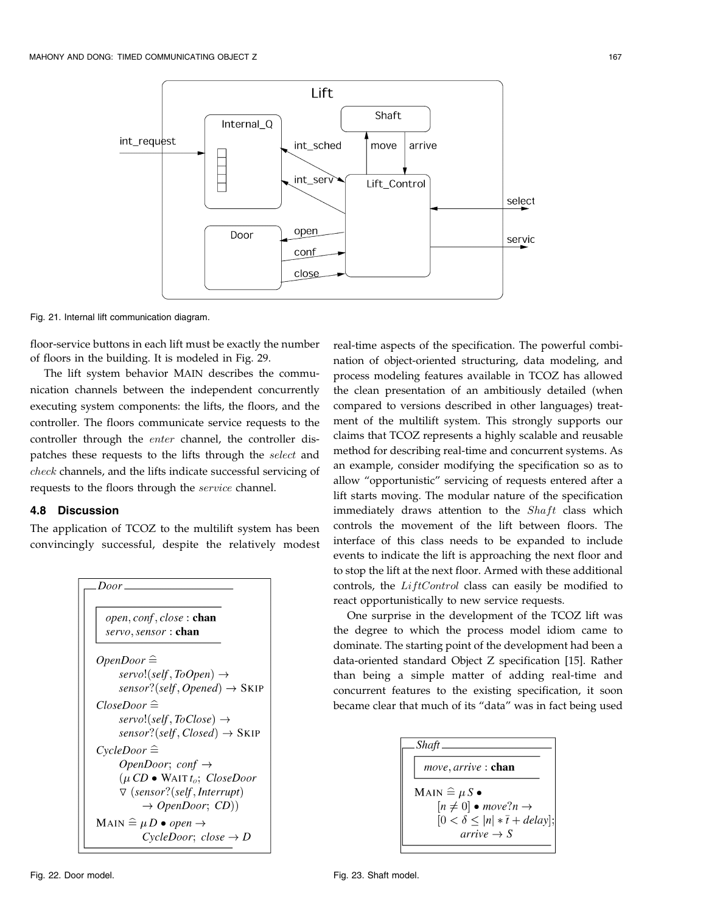

Fig. 21. Internal lift communication diagram.

floor-service buttons in each lift must be exactly the number of floors in the building. It is modeled in Fig. 29.

The lift system behavior MAIN describes the communication channels between the independent concurrently executing system components: the lifts, the floors, and the controller. The floors communicate service requests to the controller through the *enter* channel, the controller dispatches these requests to the lifts through the select and check channels, and the lifts indicate successful servicing of requests to the floors through the service channel.

#### 4.8 Discussion

The application of TCOZ to the multilift system has been convincingly successful, despite the relatively modest

| open, conf, close: <b>chan</b>                 |
|------------------------------------------------|
| servo, sensor : <b>chan</b>                    |
|                                                |
| $OpenDoor \cong$                               |
| $servo!(self, ToOpen) \rightarrow$             |
| sensor?(self, Opened) $\rightarrow$ SKIP       |
| $CloseDoor \cong$                              |
| $servo!(self, ToClose) \rightarrow$            |
| sensor?(self, Closed) $\rightarrow$ SKIP       |
| $C$ vcle $Door \cong$                          |
| <i>OpenDoor</i> ; <i>conf</i> $\rightarrow$    |
| $(\mu\,CD\bullet\,{\rm WAIT}\,t_o;\;CloseDoor$ |
| $\nabla$ (sensor?(self, Interrupt)             |
| $\rightarrow$ OpenDoor; CD)                    |
| $MAIN \cong \mu D \bullet open \rightarrow$    |
| $CycleDoor$ ; close $\rightarrow D$            |

real-time aspects of the specification. The powerful combination of object-oriented structuring, data modeling, and process modeling features available in TCOZ has allowed the clean presentation of an ambitiously detailed (when compared to versions described in other languages) treatment of the multilift system. This strongly supports our claims that TCOZ represents a highly scalable and reusable method for describing real-time and concurrent systems. As an example, consider modifying the specification so as to allow "opportunistic" servicing of requests entered after a lift starts moving. The modular nature of the specification immediately draws attention to the *Shaft* class which controls the movement of the lift between floors. The interface of this class needs to be expanded to include events to indicate the lift is approaching the next floor and to stop the lift at the next floor. Armed with these additional controls, the *LiftControl* class can easily be modified to react opportunistically to new service requests.

One surprise in the development of the TCOZ lift was the degree to which the process model idiom came to dominate. The starting point of the development had been a data-oriented standard Object Z specification [15]. Rather than being a simple matter of adding real-time and concurrent features to the existing specification, it soon became clear that much of its "data" was in fact being used

| Shaft                                                                     |
|---------------------------------------------------------------------------|
| move, arrive: chan                                                        |
| $MAIN \hat{=} \mu S \bullet$                                              |
| $[n \neq 0] \bullet move?n \rightarrow$                                   |
| $[0 < \delta \leq  n  * \overline{t} + delay];$<br>arrive $\rightarrow$ S |
|                                                                           |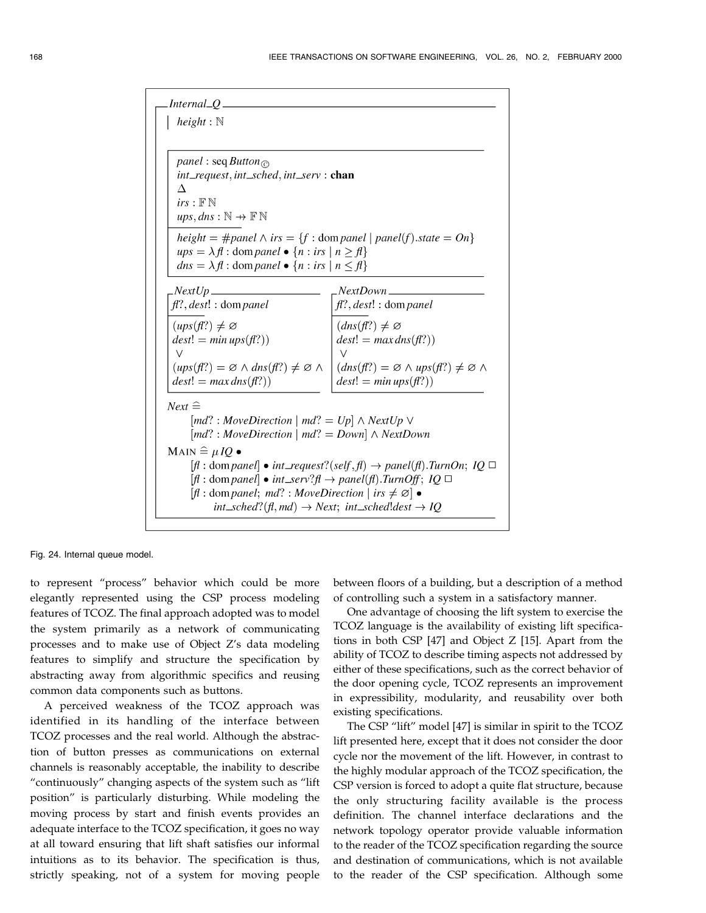| Internal_ $Q$ ___                                                                                                                       |                                                                                               |  |  |  |
|-----------------------------------------------------------------------------------------------------------------------------------------|-----------------------------------------------------------------------------------------------|--|--|--|
| $height: \mathbb{N}$                                                                                                                    |                                                                                               |  |  |  |
|                                                                                                                                         |                                                                                               |  |  |  |
| <i>panel</i> : seq <i>Button</i> $\odot$                                                                                                |                                                                                               |  |  |  |
| int_request, int_sched, int_serv: <b>chan</b>                                                                                           |                                                                                               |  |  |  |
| Δ<br>irs : $\mathbb{F} \mathbb{N}$                                                                                                      |                                                                                               |  |  |  |
| $ups, dns : \mathbb{N} \to \mathbb{F} \mathbb{N}$                                                                                       |                                                                                               |  |  |  |
| height = #panel $\wedge$ irs = {f : dom panel   panel(f).state = On}                                                                    |                                                                                               |  |  |  |
| $ups = \lambda f$ : dom panel $\bullet \{n : irs \mid n \geq f\}$                                                                       |                                                                                               |  |  |  |
| $Ans = \lambda f$ : dom panel $\bullet \{n : irs \mid n \leq f\}$                                                                       |                                                                                               |  |  |  |
| $. NextUp \_\_$                                                                                                                         | NextDown                                                                                      |  |  |  |
| $f$ ?, dest! : dom panel                                                                                                                | $f$ ?, dest! : dom panel                                                                      |  |  |  |
| $(ups(\hat{\theta})) \neq \emptyset$                                                                                                    | $(dns(f!) \neq \emptyset)$                                                                    |  |  |  |
| $dest! = minups(f!?)$                                                                                                                   | $dest! = max \, dns(f!))$                                                                     |  |  |  |
| $(\textit{ups}(f\mathcal{X})) = \varnothing \wedge \textit{dns}(f\mathcal{X}) \neq \varnothing \wedge$                                  | V<br>$(dns(f!) = \varnothing \wedge ups(f!) \neq \varnothing \wedge$                          |  |  |  |
| $dest! = max \, dns(f!))$                                                                                                               | $dest! = minups(f!?)$                                                                         |  |  |  |
|                                                                                                                                         |                                                                                               |  |  |  |
| $Next \cong$<br>$\lceil md? : MoveDirection \mid md? = Up \rceil \wedge NextUp \vee$                                                    |                                                                                               |  |  |  |
| $[md]: MoveDirection   md? = Down] \wedge NextDown$                                                                                     |                                                                                               |  |  |  |
| $\text{MAIN} \mathrel{\hat{=}} \mu \textit{IQ} \bullet$                                                                                 |                                                                                               |  |  |  |
|                                                                                                                                         | $[f]$ : dom panel $\bullet$ int_request?(self, fl) $\rightarrow$ panel(fl). TurnOn; IQ $\Box$ |  |  |  |
| $[ft:dom panel] \bullet int\_serv? ft \rightarrow panel (ft). TurnOff; IQ \square$                                                      |                                                                                               |  |  |  |
| $[ft:dom panel; md? : MoveDirection   irs \neq \emptyset]$<br>$int\_sched?(f1, md) \rightarrow Next$ ; $int\_sched!dest \rightarrow IQ$ |                                                                                               |  |  |  |
|                                                                                                                                         |                                                                                               |  |  |  |

Fig. 24. Internal queue model.

to represent "process" behavior which could be more elegantly represented using the CSP process modeling features of TCOZ. The final approach adopted was to model the system primarily as a network of communicating processes and to make use of Object Z's data modeling features to simplify and structure the specification by abstracting away from algorithmic specifics and reusing common data components such as buttons.

A perceived weakness of the TCOZ approach was identified in its handling of the interface between TCOZ processes and the real world. Although the abstraction of button presses as communications on external channels is reasonably acceptable, the inability to describe ªcontinuouslyº changing aspects of the system such as ªlift position" is particularly disturbing. While modeling the moving process by start and finish events provides an adequate interface to the TCOZ specification, it goes no way at all toward ensuring that lift shaft satisfies our informal intuitions as to its behavior. The specification is thus, strictly speaking, not of a system for moving people

between floors of a building, but a description of a method of controlling such a system in a satisfactory manner.

One advantage of choosing the lift system to exercise the TCOZ language is the availability of existing lift specifications in both CSP [47] and Object Z [15]. Apart from the ability of TCOZ to describe timing aspects not addressed by either of these specifications, such as the correct behavior of the door opening cycle, TCOZ represents an improvement in expressibility, modularity, and reusability over both existing specifications.

The CSP "lift" model [47] is similar in spirit to the TCOZ lift presented here, except that it does not consider the door cycle nor the movement of the lift. However, in contrast to the highly modular approach of the TCOZ specification, the CSP version is forced to adopt a quite flat structure, because the only structuring facility available is the process definition. The channel interface declarations and the network topology operator provide valuable information to the reader of the TCOZ specification regarding the source and destination of communications, which is not available to the reader of the CSP specification. Although some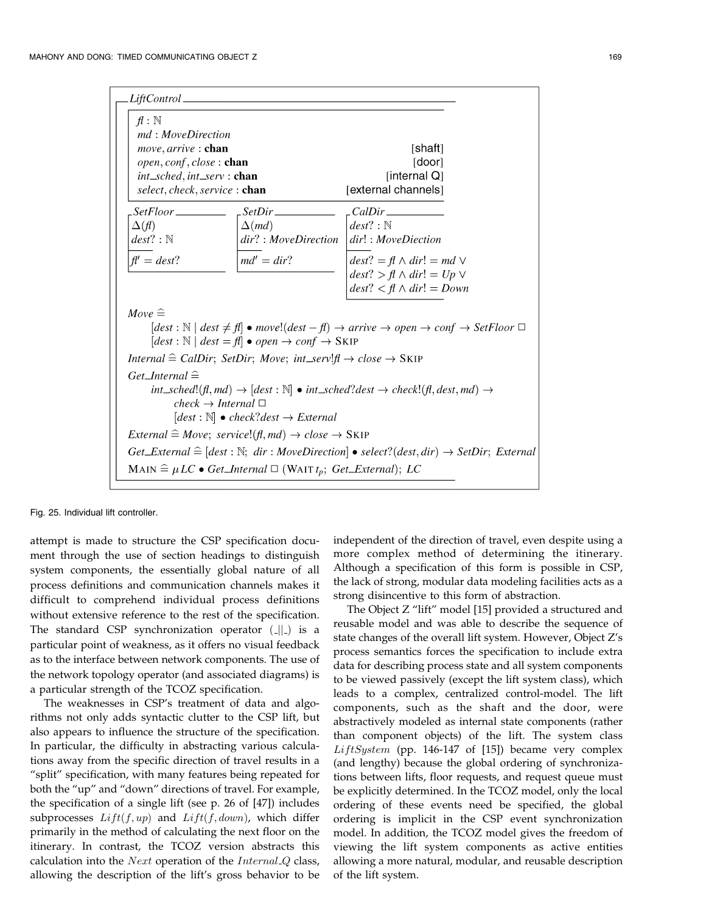

#### Fig. 25. Individual lift controller.

attempt is made to structure the CSP specification document through the use of section headings to distinguish system components, the essentially global nature of all process definitions and communication channels makes it difficult to comprehend individual process definitions without extensive reference to the rest of the specification. The standard CSP synchronization operator  $(|z|)$  is a particular point of weakness, as it offers no visual feedback as to the interface between network components. The use of the network topology operator (and associated diagrams) is a particular strength of the TCOZ specification.

The weaknesses in CSP's treatment of data and algorithms not only adds syntactic clutter to the CSP lift, but also appears to influence the structure of the specification. In particular, the difficulty in abstracting various calculations away from the specific direction of travel results in a "split" specification, with many features being repeated for both the "up" and "down" directions of travel. For example, the specification of a single lift (see p. 26 of [47]) includes subprocesses  $Lift(f, up)$  and  $Lift(f, down)$ , which differ primarily in the method of calculating the next floor on the itinerary. In contrast, the TCOZ version abstracts this calculation into the  $Next$  operation of the Internal  $Q$  class, allowing the description of the lift's gross behavior to be

independent of the direction of travel, even despite using a more complex method of determining the itinerary. Although a specification of this form is possible in CSP, the lack of strong, modular data modeling facilities acts as a strong disincentive to this form of abstraction.

The Object Z "lift" model [15] provided a structured and reusable model and was able to describe the sequence of state changes of the overall lift system. However, Object Z's process semantics forces the specification to include extra data for describing process state and all system components to be viewed passively (except the lift system class), which leads to a complex, centralized control-model. The lift components, such as the shaft and the door, were abstractively modeled as internal state components (rather than component objects) of the lift. The system class  $LiftSystem$  (pp. 146-147 of [15]) became very complex (and lengthy) because the global ordering of synchronizations between lifts, floor requests, and request queue must be explicitly determined. In the TCOZ model, only the local ordering of these events need be specified, the global ordering is implicit in the CSP event synchronization model. In addition, the TCOZ model gives the freedom of viewing the lift system components as active entities allowing a more natural, modular, and reusable description of the lift system.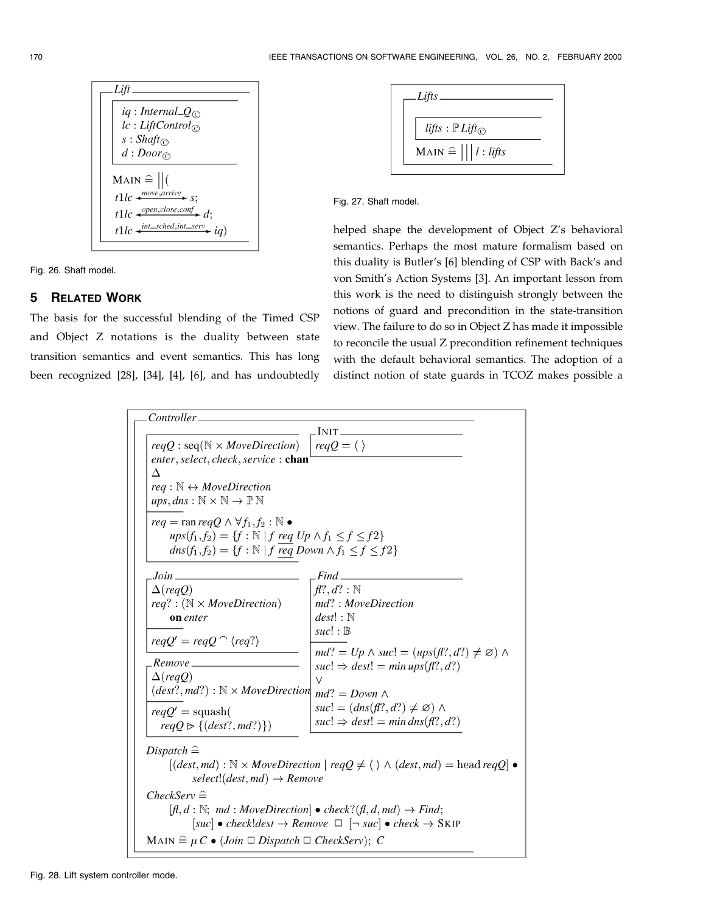

Lifts. lifts:  $\mathbb{P}$  Lift<sub> $\odot$ </sub>  $MAIN \hat{=}$  $l:$  lifts



helped shape the development of Object Z's behavioral semantics. Perhaps the most mature formalism based on this duality is Butler's [6] blending of CSP with Back's and von Smith's Action Systems [3]. An important lesson from this work is the need to distinguish strongly between the notions of guard and precondition in the state-transition view. The failure to do so in Object Z has made it impossible to reconcile the usual Z precondition refinement techniques with the default behavioral semantics. The adoption of a distinct notion of state guards in TCOZ makes possible a

| Controller.                                                                                                                                                                                 |  |
|---------------------------------------------------------------------------------------------------------------------------------------------------------------------------------------------|--|
| .Init                                                                                                                                                                                       |  |
| $reqQ = \langle \rangle$<br>$reqQ : seq(N \times MoveDirection)$                                                                                                                            |  |
| enter, select, check, service : chan                                                                                                                                                        |  |
| Δ                                                                                                                                                                                           |  |
| $req : \mathbb{N} \leftrightarrow MoveDirection$                                                                                                                                            |  |
| $ups, dns : \mathbb{N} \times \mathbb{N} \to \mathbb{P} \mathbb{N}$                                                                                                                         |  |
| $req = \text{ran } \text{reqQ} \land \forall f_1, f_2 : \mathbb{N}$<br>$ups(f_1, f_2) = \{f : \mathbb{N} \mid f \text{ reg } Up \land f_1 \le f \le f2\}$                                   |  |
| $Ans(f_1, f_2) = \{f : \mathbb{N} \mid f \overline{req} \ Down \land f_1 \leq f \leq f2\}$                                                                                                  |  |
|                                                                                                                                                                                             |  |
| Find.<br>$Join_{-}$                                                                                                                                                                         |  |
| $f1^2, d? : \mathbb{N}$<br>$\Delta (reqQ)$                                                                                                                                                  |  |
| md?: MoveDirection<br>$req? : (\mathbb{N} \times MoveDirection)$                                                                                                                            |  |
| $dest! : \mathbb{N}$<br>on enter                                                                                                                                                            |  |
| $suc! : \mathbb{B}$                                                                                                                                                                         |  |
| $reqQ' = reqQ \cap \langle req? \rangle$<br>$md? = Up \wedge suc! = (ups(f? , d?) \neq \emptyset) \wedge$                                                                                   |  |
| Remove.<br>$suc! \Rightarrow dest! = minups(\hat{\pi}^2, d^2)$                                                                                                                              |  |
| $\Delta (reqQ)$<br>$\vee$                                                                                                                                                                   |  |
| $(dest?, md?): \mathbb{N} \times MoveDirection$<br>$md? = Down \wedge$                                                                                                                      |  |
| $suc! = (Ans(\hat{\mu}), d?) \neq \emptyset) \wedge$<br>$reqQ' = squash($                                                                                                                   |  |
| $suc! \Rightarrow dest! = min\,(n?, d?)$<br>$reqQ \triangleright \{(dest?, md?)\})$                                                                                                         |  |
| $Dispatch \cong$<br>$[(dest, md) : \mathbb{N} \times MoveDirection \mid reqQ \neq \langle \rangle \wedge (dest, md) = head \, reqQ] \bullet$<br>$select!(dest, md) \rightarrow Remove$      |  |
| $Check Serv \cong$                                                                                                                                                                          |  |
| $[f, d : \mathbb{N}; \text{md} : MoveDirection] \bullet check?(f, d, md) \rightarrow Find;$<br>$[suc] \bullet check!dest \rightarrow Remove \Box [\neg suc] \bullet check \rightarrow SkIP$ |  |
| MAIN $\widehat{=}\mu C \bullet (Join \Box Dispatch \Box Check Serv); C$                                                                                                                     |  |

Fig. 26. Shaft model.

## 5 RELATED WORK

The basis for the successful blending of the Timed CSP and Object Z notations is the duality between state transition semantics and event semantics. This has long been recognized [28], [34], [4], [6], and has undoubtedly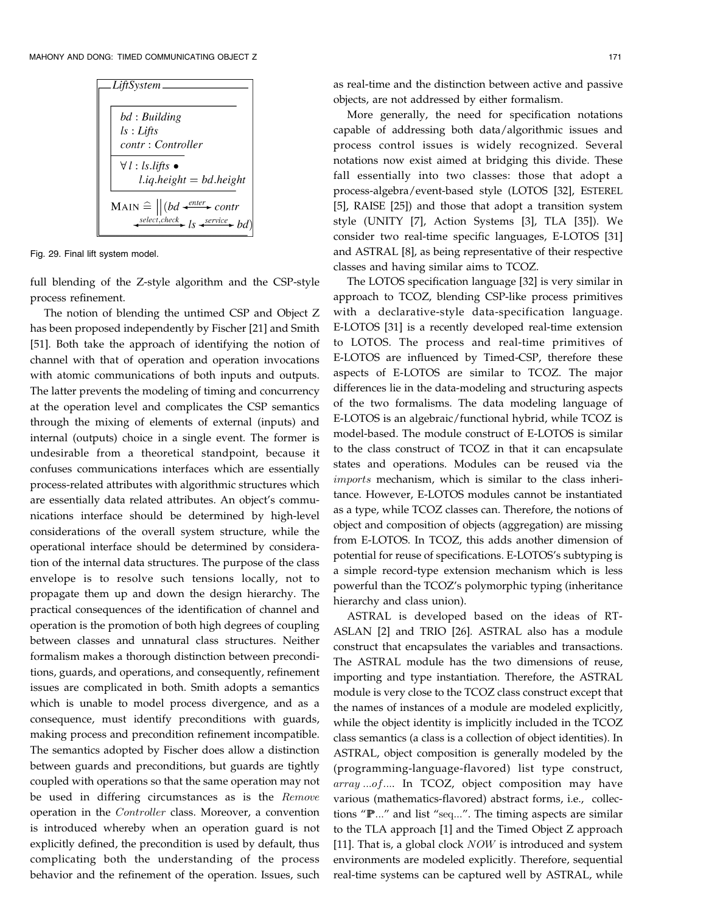|                                 | bd: Building       |                             |
|---------------------------------|--------------------|-----------------------------|
| ls: Lifts                       |                    |                             |
|                                 | contr : Controller |                             |
| $\forall l:$ is lifts $\bullet$ |                    |                             |
|                                 |                    | $l.iq. height = bd. height$ |

Fig. 29. Final lift system model.

full blending of the Z-style algorithm and the CSP-style process refinement.

The notion of blending the untimed CSP and Object Z has been proposed independently by Fischer [21] and Smith [51]. Both take the approach of identifying the notion of channel with that of operation and operation invocations with atomic communications of both inputs and outputs. The latter prevents the modeling of timing and concurrency at the operation level and complicates the CSP semantics through the mixing of elements of external (inputs) and internal (outputs) choice in a single event. The former is undesirable from a theoretical standpoint, because it confuses communications interfaces which are essentially process-related attributes with algorithmic structures which are essentially data related attributes. An object's communications interface should be determined by high-level considerations of the overall system structure, while the operational interface should be determined by consideration of the internal data structures. The purpose of the class envelope is to resolve such tensions locally, not to propagate them up and down the design hierarchy. The practical consequences of the identification of channel and operation is the promotion of both high degrees of coupling between classes and unnatural class structures. Neither formalism makes a thorough distinction between preconditions, guards, and operations, and consequently, refinement issues are complicated in both. Smith adopts a semantics which is unable to model process divergence, and as a consequence, must identify preconditions with guards, making process and precondition refinement incompatible. The semantics adopted by Fischer does allow a distinction between guards and preconditions, but guards are tightly coupled with operations so that the same operation may not be used in differing circumstances as is the Remove operation in the Controller class. Moreover, a convention is introduced whereby when an operation guard is not explicitly defined, the precondition is used by default, thus complicating both the understanding of the process behavior and the refinement of the operation. Issues, such

as real-time and the distinction between active and passive objects, are not addressed by either formalism.

More generally, the need for specification notations capable of addressing both data/algorithmic issues and process control issues is widely recognized. Several notations now exist aimed at bridging this divide. These fall essentially into two classes: those that adopt a process-algebra/event-based style (LOTOS [32], ESTEREL [5], RAISE [25]) and those that adopt a transition system style (UNITY [7], Action Systems [3], TLA [35]). We consider two real-time specific languages, E-LOTOS [31] and ASTRAL [8], as being representative of their respective classes and having similar aims to TCOZ.

The LOTOS specification language [32] is very similar in approach to TCOZ, blending CSP-like process primitives with a declarative-style data-specification language. E-LOTOS [31] is a recently developed real-time extension to LOTOS. The process and real-time primitives of E-LOTOS are influenced by Timed-CSP, therefore these aspects of E-LOTOS are similar to TCOZ. The major differences lie in the data-modeling and structuring aspects of the two formalisms. The data modeling language of E-LOTOS is an algebraic/functional hybrid, while TCOZ is model-based. The module construct of E-LOTOS is similar to the class construct of TCOZ in that it can encapsulate states and operations. Modules can be reused via the imports mechanism, which is similar to the class inheritance. However, E-LOTOS modules cannot be instantiated as a type, while TCOZ classes can. Therefore, the notions of object and composition of objects (aggregation) are missing from E-LOTOS. In TCOZ, this adds another dimension of potential for reuse of specifications. E-LOTOS's subtyping is a simple record-type extension mechanism which is less powerful than the TCOZ's polymorphic typing (inheritance hierarchy and class union).

ASTRAL is developed based on the ideas of RT-ASLAN [2] and TRIO [26]. ASTRAL also has a module construct that encapsulates the variables and transactions. The ASTRAL module has the two dimensions of reuse, importing and type instantiation. Therefore, the ASTRAL module is very close to the TCOZ class construct except that the names of instances of a module are modeled explicitly, while the object identity is implicitly included in the TCOZ class semantics (a class is a collection of object identities). In ASTRAL, object composition is generally modeled by the (programming-language-flavored) list type construct, array ...of.... In TCOZ, object composition may have various (mathematics-flavored) abstract forms, i.e., collections "P..." and list "seq...". The timing aspects are similar to the TLA approach [1] and the Timed Object Z approach [11]. That is, a global clock  $NOW$  is introduced and system environments are modeled explicitly. Therefore, sequential real-time systems can be captured well by ASTRAL, while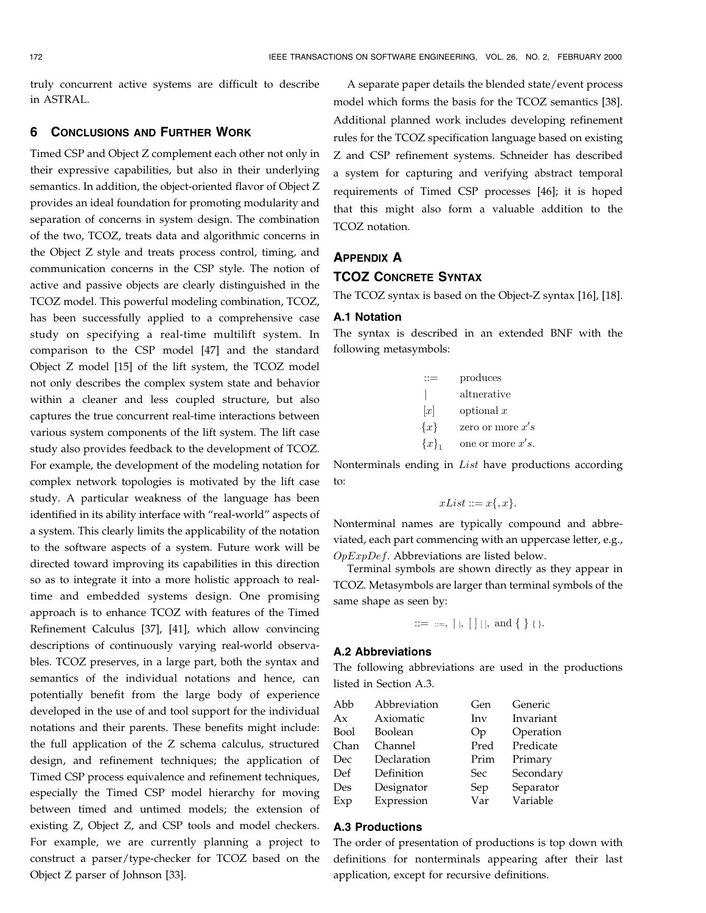truly concurrent active systems are difficult to describe in ASTRAL.

#### 6 CONCLUSIONS AND FURTHER WORK

Timed CSP and Object Z complement each other not only in their expressive capabilities, but also in their underlying semantics. In addition, the object-oriented flavor of Object Z provides an ideal foundation for promoting modularity and separation of concerns in system design. The combination of the two, TCOZ, treats data and algorithmic concerns in the Object Z style and treats process control, timing, and communication concerns in the CSP style. The notion of active and passive objects are clearly distinguished in the TCOZ model. This powerful modeling combination, TCOZ, has been successfully applied to a comprehensive case study on specifying a real-time multilift system. In comparison to the CSP model [47] and the standard Object Z model [15] of the lift system, the TCOZ model not only describes the complex system state and behavior within a cleaner and less coupled structure, but also captures the true concurrent real-time interactions between various system components of the lift system. The lift case study also provides feedback to the development of TCOZ. For example, the development of the modeling notation for complex network topologies is motivated by the lift case study. A particular weakness of the language has been identified in its ability interface with "real-world" aspects of a system. This clearly limits the applicability of the notation to the software aspects of a system. Future work will be directed toward improving its capabilities in this direction so as to integrate it into a more holistic approach to realtime and embedded systems design. One promising approach is to enhance TCOZ with features of the Timed Refinement Calculus [37], [41], which allow convincing descriptions of continuously varying real-world observables. TCOZ preserves, in a large part, both the syntax and semantics of the individual notations and hence, can potentially benefit from the large body of experience developed in the use of and tool support for the individual notations and their parents. These benefits might include: the full application of the Z schema calculus, structured design, and refinement techniques; the application of Timed CSP process equivalence and refinement techniques, especially the Timed CSP model hierarchy for moving between timed and untimed models; the extension of existing Z, Object Z, and CSP tools and model checkers. For example, we are currently planning a project to construct a parser/type-checker for TCOZ based on the Object Z parser of Johnson [33].

A separate paper details the blended state/event process model which forms the basis for the TCOZ semantics [38]. Additional planned work includes developing refinement rules for the TCOZ specification language based on existing Z and CSP refinement systems. Schneider has described a system for capturing and verifying abstract temporal requirements of Timed CSP processes [46]; it is hoped that this might also form a valuable addition to the TCOZ notation.

## **APPENDIX A**

## TCOZ CONCRETE SYNTAX

The TCOZ syntax is based on the Object-Z syntax [16], [18].

## A.1 Notation

The syntax is described in an extended BNF with the following metasymbols:

|           | produces            |
|-----------|---------------------|
|           | altnerative         |
| x         | optional $x$        |
| $\{x\}$   | zero or more $x's$  |
| $\{x\}_1$ | one or more $x's$ . |

Nonterminals ending in List have productions according to:

$$
xList ::= x\{,x\}.
$$

Nonterminal names are typically compound and abbreviated, each part commencing with an uppercase letter, e.g., OpExpDef. Abbreviations are listed below.

Terminal symbols are shown directly as they appear in TCOZ. Metasymbols are larger than terminal symbols of the same shape as seen by:

$$
::= ::= , | | , [ ] | ], \text{ and } { } \{ \} \{ \}.
$$

#### A.2 Abbreviations

The following abbreviations are used in the productions listed in Section A.3.

| Abb  | Abbreviation | Gen  | Generic   |
|------|--------------|------|-----------|
| Ax   | Axiomatic    | Inv  | Invariant |
| Bool | Boolean      | Op   | Operation |
| Chan | Channel      | Pred | Predicate |
| Dec  | Declaration  | Prim | Primary   |
| Def  | Definition   | Sec  | Secondary |
| Des  | Designator   | Sep  | Separator |
| Exp  | Expression   | Var  | Variable  |

#### A.3 Productions

The order of presentation of productions is top down with definitions for nonterminals appearing after their last application, except for recursive definitions.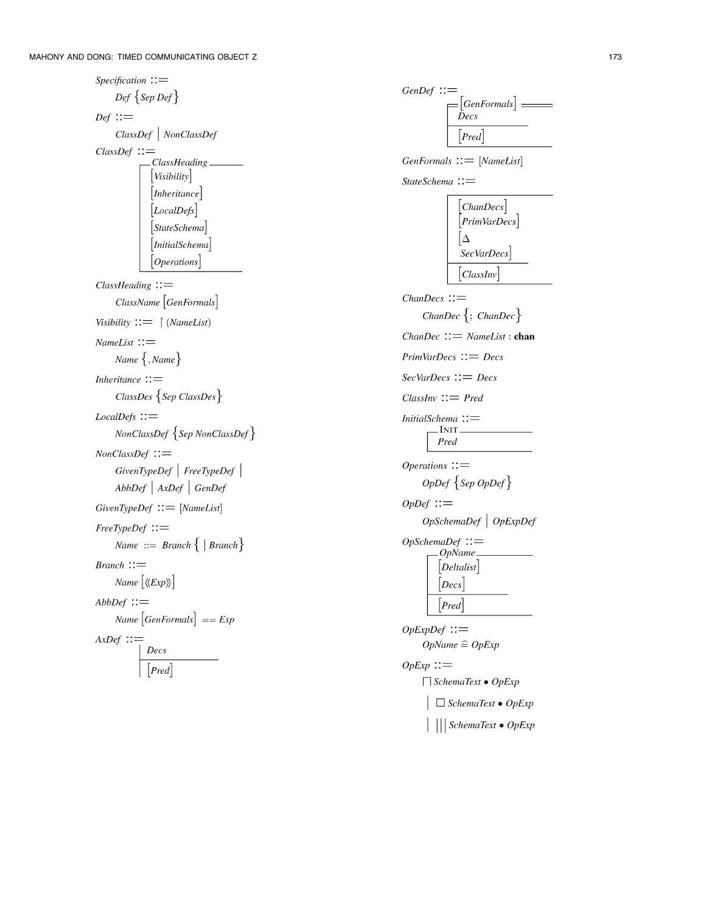$Specification ::=$  $Def$  { Sep Def }  $Def ::=$  $ClassDef | NonClassDef$  $ClassDef :: =$ ClassHeading  $\vert$ Visibility $\vert$  $[Inheritance]$  $[LocalDefs]$ StateSchema InitialSchema  $|Operations$  $ClassHeading ::=$ ClassName [GenFormals] Visibility  $\mathrel{\mathop:}= \restriction$  (NameList)  $NameList ::=$ Name  $\{$ , Name $\}$ Inheritance  $\mathrel{\mathop:}=$  $\text{ClassDes} \left\{ \text{Sep ClassDes} \right\}$  $LocalDefs ::=$  $NonClassDef \{ Sep \ NonClassDef\}$  $NonClassDef :: =$  $GivenTypeDef \mid FreeTypeDef \mid$  $AbbDef | AxDef | GenDef$  $GivenTypeDef ::= [NameList]$  $FreeTypeDef :: =$ Name  $::=$  Branch  $\{ | Branch \}$  $Branch ::=$ Name  $\langle\langle Exp \rangle\rangle$  $AbbDef ::=$  $Name | GenFormals | == Exp$  $AxDef ::=$ Decs  $[Pred]$ 

 $GenDef :: =$  $\vert$  GenFormals $\vert$  $\bar{D}$ ecs  $|Pred|$  $GenFormals ::= [NameList]$  $StateSchema$  ::=  $ChanDecs$  $\vert$ PrimVarDecs $\vert$  $|\Delta|$ **SecVarDecs**  $\vert$ ClassInv  $ChanDecs ::=$ ChanDec  $\{$ ; ChanDec $\}$  $ChanDec ::= NameList : chan$  $PrimVarDecs ::= Decs$  $SecVarDecs ::= Decs$  $ClassInv ::= Pred$ InitialSchema::= INIT. Pred  $Operations ::=$  $OpDef$  {Sep OpDef}  $OpDef ::=$  $OpSchemaDef$  |  $OpExpDef$  $OpSchemaDef ::=$ OpName  $\left[Delta$  $|Decs|$  $Pred$  $OpExpDef ::=$  $OpName \hat{=} OpExp$  $OpExp ::=$  $\Box$  SchemaText • OpExp  $\Box$  SchemaText • OpExp  $\vert$   $\vert$  SchemaText • OpExp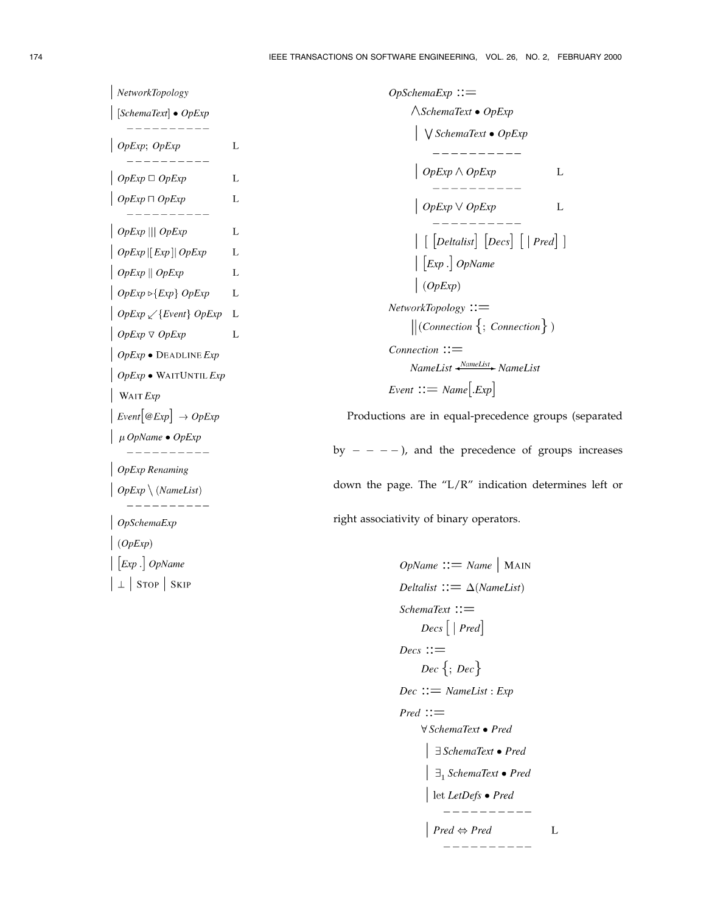NetworkTopology  $[SchemaText] \bullet OpExp$ - - - - - - - - - $OpExp$ ;  $OpExp$  $\mathbf L$  $OpExp \square OpExp$  $\mathbf L$  $OpExp \sqcap OpExp$  $\mathbf L$  $OpExp$ |||  $OpExp$  $\mathbf{L}$  $OpExp[[Exp]]OpExp$  $\mathbf L$  $OpExp \mid\mid OpExp$  $\mathbf{L}$  $OpExp \triangleright \{Exp\} OpExp$  $\mathbf L$  $OpExp \swarrow$ {Event}  $OpExp$  L  $OpExp \triangleleft OpExp$  $\mathbf L$  $\overline{OpExp \bullet D$ EADLINE  $Exp$  $OpExp \bullet$  WAITUNTIL  $Exp$ WAIT  $Exp$  $Event[@Exp] \rightarrow OpExp$  $\mu$  OpName • OpExp **OpExp Renaming**  $OpExp \setminus (NameList)$ 

OpSchemaExp

 $\left| \right|$   $\left| Exp \right|$   $\left| OppName \right|$ 

 $\vert \perp \vert$  Stop  $\vert$  Skip

 $(OpExp)$ 

```
OpSchemaExp ::=\triangleSchemaText • OpExp
                        \bigvee SchemaText • OpExp
                       OpExp \wedge OpExp\mathbf LOpExp \vee OpExp\mathbf{L}\left| \begin{array}{c} \left[ \text{Deltalist} \right] \end{array} \right| \left[ \text{Decs} \right] \left[ \begin{array}{c} \left[ \text{Pred} \right] \end{array} \right]\left| \right| [Exp.] OpName
                     \big| (OpExp)
             NetworkTopology ::=\Vert(Connection \{; Connection\})
             Connection ::=NameList <NameList NameList
             Event ::= Name[. Exp]Productions are in equal-precedence groups (separated
```
by  $-$  ), and the precedence of groups increases down the page. The  $L/R''$  indication determines left or right associativity of binary operators.

```
OpName ::= Name | <b>Man</b>Deltalist ::= \Delta(NameList)SchemaText ::=Decs | Pred
Decs ::=Dec \{ ; Dec \}Dec ::= NameList : ExpPred ::=\forall SchemaText • Pred
       \exists SchemaText • Pred
       \exists_1 SchemaText • Pred
      \vert let LetDefs \bullet Pred
          ----------
      \vert Pred \Leftrightarrow Pred
```
-----------

 $\Gamma$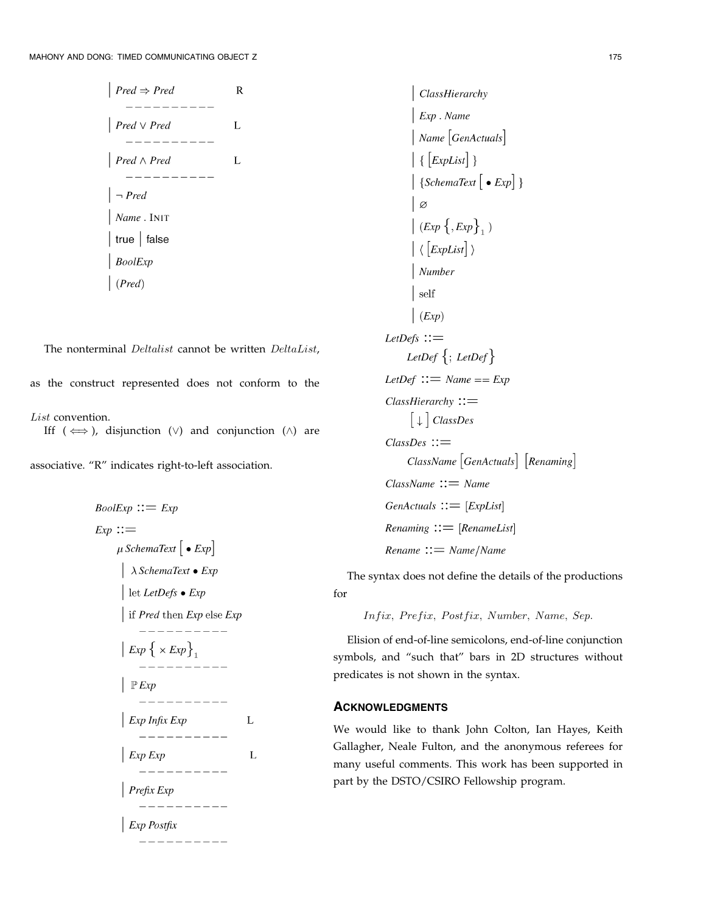$\vert$  Pred  $\Rightarrow$  Pred  $\overline{\text{R}}$ \_\_\_\_\_\_\_\_\_\_  $Pred \vee Pred$  $\mathbf L$ \_\_\_\_\_\_\_\_\_\_  $\vert$  Pred  $\wedge$  Pred  $\mathbf L$  $\vert \neg \text{Pred} \vert$  $\vert$  Name . INIT  $|$  true  $|$  false **BoolExp**  $| (Pred)$ 

The nonterminal Deltalist cannot be written DeltaList,

as the construct represented does not conform to the

List convention.

Iff  $(\iff)$ , disjunction  $(\lor)$  and conjunction  $(\land)$  are

associative. "R" indicates right-to-left association.

**BookExp** ::= 
$$
Exp
$$

\n $Exp$  ::=  $p$ 

\n $SchemaText \, \big[ \bullet Exp \big]$ 

\n $SchemaText \bullet Exp$ 

\n $let Let Defs \bullet Exp$ 

\n $if Pred then Exp else Exp$ 

\n $---------$ 

\n $Exp \, \big\{ x \, Exp \big\}_1$ 

\n $---------$ 

\n $Exp Infix Exp$ 

\n $---------$ 

\n $Exp Exp$ 

\n $---------$ 

\n $Exp Exp$ 

\n $---------$ 

\n $Prefix Exp$ 

\n $---------$ 

\n $Prefix Exp$ 

\n $---------$ 

\n $Exp Postfix$ 

\n $---------$ 

 $\vert$  ClassHierarchy  $Exp$ . Name  $\vert$  Name  $\vert$  GenActuals $\vert$  $\left[\right.\left.\left\{\right. [ExpList]\right.\right\}$  $\vert$  {SchemaText  $\vert \bullet Exp \vert$  }  $\mid \varnothing$  $\left( Exp\left\{ ,Exp\right\} ,\right)$  $|\langle$ [ExpList]  $\rangle$  $\vert$  Number  $\vert$  self  $\mid$  (*Exp*) LetDefs $::=$ LetDef  $\{ ; \text{LetDef} \}$ LetDef ::=  $Name == Exp$  $Class Hierarchy ::=$  $\lceil \downarrow \rceil$  ClassDes  $\mathit{ClassDes} ::=$ ClassName [GenActuals] [Renaming]  $ClassName ::= Name$  $GenActuals ::= [ExpList]$  $\mathit{Renaming} ::= [\mathit{RenameList}]$  $R$ ename  $\frac{m}{n}$  Name / Name

The syntax does not define the details of the productions for

```
Infix, Prefix, Postfix, Number, Name, Sep.
```
Elision of end-of-line semicolons, end-of-line conjunction symbols, and "such that" bars in 2D structures without predicates is not shown in the syntax.

## ACKNOWLEDGMENTS

We would like to thank John Colton, Ian Hayes, Keith Gallagher, Neale Fulton, and the anonymous referees for many useful comments. This work has been supported in part by the DSTO/CSIRO Fellowship program.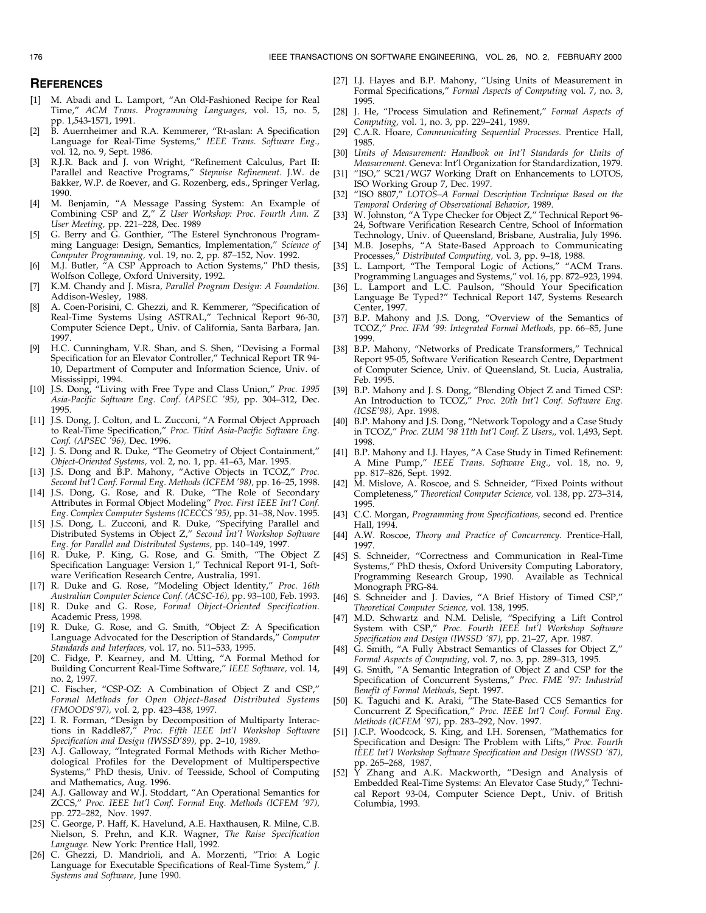#### **REFERENCES**

- [1] M. Abadi and L. Lamport, "An Old-Fashioned Recipe for Real Time," ACM Trans. Programming Languages, vol. 15, no. 5, pp. 1,543-1571, 1991.
- [2] B. Auernheimer and R.A. Kemmerer, "Rt-aslan: A Specification Language for Real-Time Systems," IEEE Trans. Software Eng., vol. 12, no. 9, Sept. 1986.
- [3] R.J.R. Back and J. von Wright, "Refinement Calculus, Part II: Parallel and Reactive Programs," Stepwise Refinement. J.W. de Bakker, W.P. de Roever, and G. Rozenberg, eds., Springer Verlag, 1990.
- [4] M. Benjamin, ªA Message Passing System: An Example of Combining CSP and Z,º Z User Workshop: Proc. Fourth Ann. Z User Meeting, pp. 221-228, Dec. 1989
- [5] G. Berry and G. Gonthier, "The Esterel Synchronous Programming Language: Design, Semantics, Implementation," Science of Computer Programming, vol. 19, no. 2, pp. 87-152, Nov. 1992.
- [6] M.J. Butler, "A CSP Approach to Action Systems," PhD thesis, Wolfson College, Oxford University, 1992.
- [7] K.M. Chandy and J. Misra, Parallel Program Design: A Foundation. Addison-Wesley, 1988.
- [8] A. Coen-Porisini, C. Ghezzi, and R. Kemmerer, "Specification of Real-Time Systems Using ASTRAL," Technical Report 96-30, Computer Science Dept., Univ. of California, Santa Barbara, Jan. 1997.
- [9] H.C. Cunningham, V.R. Shan, and S. Shen, "Devising a Formal Specification for an Elevator Controller," Technical Report TR 94-10, Department of Computer and Information Science, Univ. of Mississippi, 1994.
- [10] J.S. Dong, "Living with Free Type and Class Union," Proc. 1995 Asia-Pacific Software Eng. Conf. (APSEC '95), pp. 304-312, Dec. 1995.
- [11] J.S. Dong, J. Colton, and L. Zucconi, ªA Formal Object Approach to Real-Time Specification," Proc. Third Asia-Pacific Software Eng. Conf. (APSEC '96), Dec. 1996.
- [12] J. S. Dong and R. Duke, "The Geometry of Object Containment," Object-Oriented Systems, vol. 2, no. 1, pp. 41-63, Mar. 1995.
- [13] J.S. Dong and B.P. Mahony, "Active Objects in TCOZ," Proc. Second Int'l Conf. Formal Eng. Methods (ICFEM '98), pp. 16-25, 1998.
- [14] J.S. Dong, G. Rose, and R. Duke, "The Role of Secondary Attributes in Formal Object Modeling" Proc. First IEEE Int'l Conf. Eng. Complex Computer Systems (ICECCS '95), pp. 31-38, Nov. 1995.
- [15] J.S. Dong, L. Zucconi, and R. Duke, "Specifying Parallel and Distributed Systems in Object Z,º Second Int'l Workshop Software Eng. for Parallel and Distributed Systems, pp. 140±149, 1997.
- [16] R. Duke, P. King, G. Rose, and G. Smith, ªThe Object Z Specification Language: Version 1,º Technical Report 91-1, Software Verification Research Centre, Australia, 1991.
- [17] R. Duke and G. Rose, "Modeling Object Identity," Proc. 16th Australian Computer Science Conf. (ACSC-16), pp. 93-100, Feb. 1993.
- [18] R. Duke and G. Rose, Formal Object-Oriented Specification. Academic Press, 1998.
- [19] R. Duke, G. Rose, and G. Smith, "Object Z: A Specification Language Advocated for the Description of Standards," Computer Standards and Interfaces, vol. 17, no. 511-533, 1995.
- [20] C. Fidge, P. Kearney, and M. Utting, ªA Formal Method for Building Concurrent Real-Time Software," IEEE Software, vol. 14, no. 2, 1997.
- [21] C. Fischer, "CSP-OZ: A Combination of Object Z and CSP," Formal Methods for Open Object-Based Distributed Systems (FMOODS'97), vol. 2, pp. 423-438, 1997.
- [22] I. R. Forman, "Design by Decomposition of Multiparty Interactions in Raddle87,º Proc. Fifth IEEE Int'l Workshop Software Specification and Design (IWSSD'89), pp. 2-10, 1989.
- [23] A.J. Galloway, "Integrated Formal Methods with Richer Methodological Profiles for the Development of Multiperspective Systems,º PhD thesis, Univ. of Teesside, School of Computing and Mathematics, Aug. 1996.
- [24] A.J. Galloway and W.J. Stoddart, "An Operational Semantics for ZCCS," Proc. IEEE Int'l Conf. Formal Eng. Methods (ICFEM '97), pp. 272±282, Nov. 1997.
- [25] C. George, P. Haff, K. Havelund, A.E. Haxthausen, R. Milne, C.B. Nielson, S. Prehn, and K.R. Wagner, The Raise Specification Language. New York: Prentice Hall, 1992.
- [26] C. Ghezzi, D. Mandrioli, and A. Morzenti, "Trio: A Logic Language for Executable Specifications of Real-Time System," J. Systems and Software, June 1990.
- [27] I.J. Hayes and B.P. Mahony, "Using Units of Measurement in Formal Specifications," Formal Aspects of Computing vol. 7, no. 3, 1995.
- [28] J. He, "Process Simulation and Refinement," Formal Aspects of .<br>Computing, vol. 1, no. 3, pp. 229-241, 1989.
- [29] C.A.R. Hoare, Communicating Sequential Processes. Prentice Hall, 1985.
- [30] Units of Measurement: Handbook on Int'l Standards for Units of Measurement. Geneva: Int'l Organization for Standardization, 1979.
- [31] "ISO," SC21/WG7 Working Draft on Enhancements to LOTOS, ISO Working Group 7, Dec. 1997.
- [32] "ISO 8807," LOTOS–A Formal Description Technique Based on the Temporal Ordering of Observational Behavior, 1989.
- W. Johnston, "A Type Checker for Object Z," Technical Report 96-24, Software Verification Research Centre, School of Information Technology, Univ. of Queensland, Brisbane, Australia, July 1996.
- [34] M.B. Josephs, "A State-Based Approach to Communicating Processes," Distributed Computing, vol. 3, pp. 9-18, 1988.
- [35] L. Lamport, "The Temporal Logic of Actions," "ACM Trans. Programming Languages and Systems," vol. 16, pp. 872-923, 1994.
- [36] L. Lamport and L.C. Paulson, ªShould Your Specification Language Be Typed?º Technical Report 147, Systems Research Center, 1997.
- [37] B.P. Mahony and J.S. Dong, "Overview of the Semantics of TCOZ," Proc. IFM '99: Integrated Formal Methods, pp. 66-85, June 1999.
- [38] B.P. Mahony, "Networks of Predicate Transformers," Technical Report 95-05, Software Verification Research Centre, Department of Computer Science, Univ. of Queensland, St. Lucia, Australia, Feb. 1995.
- [39] B.P. Mahony and J. S. Dong, ªBlending Object Z and Timed CSP: An Introduction to TCOZ,º Proc. 20th Int'l Conf. Software Eng. (ICSE'98), Apr. 1998.
- [40] B.P. Mahony and J.S. Dong, "Network Topology and a Case Study in TCOZ," Proc. ZUM '98 11th Int'l Conf. Z Users,, vol. 1,493, Sept. 1998.
- [41] B.P. Mahony and I.J. Hayes, "A Case Study in Timed Refinement: A Mine Pump," IEEE Trans. Software Eng., vol. 18, no. 9, pp. 817±826, Sept. 1992.
- [42] M. Mislove, A. Roscoe, and S. Schneider, "Fixed Points without Completeness," Theoretical Computer Science, vol. 138, pp. 273-314, 1995.
- [43] C.C. Morgan, Programming from Specifications, second ed. Prentice Hall, 1994.
- [44] A.W. Roscoe, Theory and Practice of Concurrency. Prentice-Hall, 1997.
- [45] S. Schneider, ªCorrectness and Communication in Real-Time Systems," PhD thesis, Oxford University Computing Laboratory, Programming Research Group, 1990. Available as Technical Monograph PRG-84.
- [46] S. Schneider and J. Davies, "A Brief History of Timed CSP," Theoretical Computer Science, vol. 138, 1995.
- [47] M.D. Schwartz and N.M. Delisle, "Specifying a Lift Control System with CSP," Proc. Fourth IEEE Int'l Workshop Software Specification and Design (IWSSD '87), pp. 21-27, Apr. 1987.
- [48] G. Smith, "A Fully Abstract Semantics of Classes for Object Z," Formal Aspects of Computing, vol. 7, no. 3, pp. 289-313, 1995.
- [49] G. Smith, ªA Semantic Integration of Object Z and CSP for the Specification of Concurrent Systems," Proc. FME '97: Industrial Benefit of Formal Methods, Sept. 1997.
- [50] K. Taguchi and K. Araki, "The State-Based CCS Semantics for Concurrent Z Specification,º Proc. IEEE Int'l Conf. Formal Eng. Methods (ICFEM '97), pp. 283-292, Nov. 1997.
- [51] J.C.P. Woodcock, S. King, and I.H. Sorensen, "Mathematics for Specification and Design: The Problem with Lifts," Proc. Fourth IEEE Int'l Workshop Software Specification and Design (IWSSD '87), pp. 265±268, 1987.
- [52] Y Zhang and A.K. Mackworth, ªDesign and Analysis of Embedded Real-Time Systems: An Elevator Case Study," Technical Report 93-04, Computer Science Dept., Univ. of British Columbia, 1993.